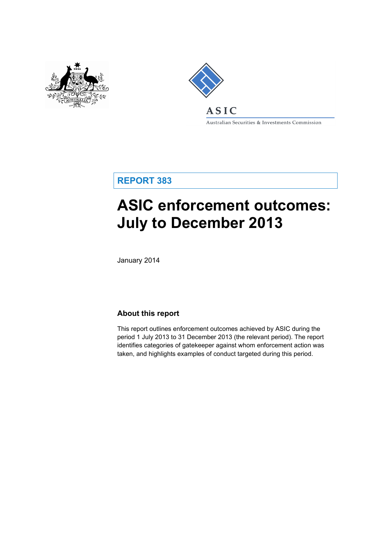



Australian Securities & Investments Commission

**REPORT 383**

# **ASIC enforcement outcomes: July to December 2013**

January 2014

## **About this report**

This report outlines enforcement outcomes achieved by ASIC during the period 1 July 2013 to 31 December 2013 (the relevant period). The report identifies categories of gatekeeper against whom enforcement action was taken, and highlights examples of conduct targeted during this period.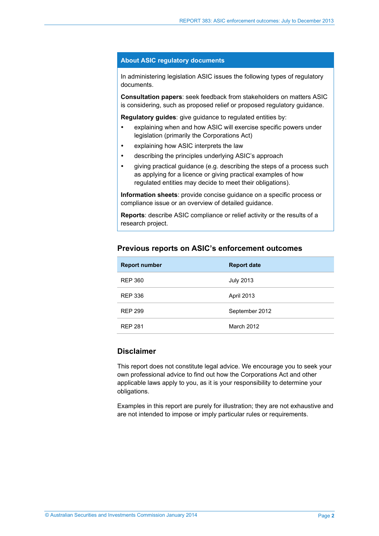#### **About ASIC regulatory documents**

In administering legislation ASIC issues the following types of regulatory documents.

**Consultation papers**: seek feedback from stakeholders on matters ASIC is considering, such as proposed relief or proposed regulatory guidance.

**Regulatory guides**: give guidance to regulated entities by:

- explaining when and how ASIC will exercise specific powers under legislation (primarily the Corporations Act)
- explaining how ASIC interprets the law
- describing the principles underlying ASIC's approach
- giving practical guidance (e.g. describing the steps of a process such as applying for a licence or giving practical examples of how regulated entities may decide to meet their obligations).

**Information sheets**: provide concise guidance on a specific process or compliance issue or an overview of detailed guidance.

**Reports**: describe ASIC compliance or relief activity or the results of a research project.

## **Previous reports on ASIC's enforcement outcomes**

| <b>Report number</b> | <b>Report date</b> |
|----------------------|--------------------|
| <b>REP 360</b>       | <b>July 2013</b>   |
| <b>REP 336</b>       | April 2013         |
| <b>REP 299</b>       | September 2012     |
| <b>REP 281</b>       | March 2012         |

#### **Disclaimer**

This report does not constitute legal advice. We encourage you to seek your own professional advice to find out how the Corporations Act and other applicable laws apply to you, as it is your responsibility to determine your obligations.

Examples in this report are purely for illustration; they are not exhaustive and are not intended to impose or imply particular rules or requirements.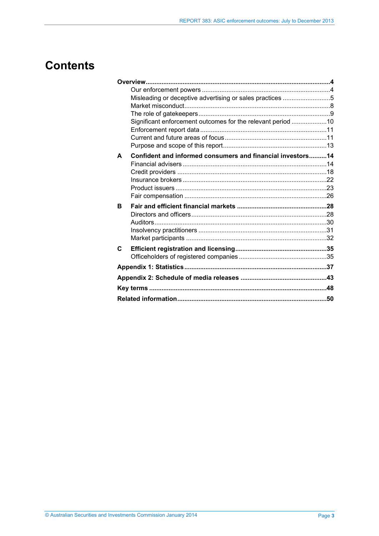## **Contents**

|   | Misleading or deceptive advertising or sales practices 5    |  |
|---|-------------------------------------------------------------|--|
|   |                                                             |  |
|   |                                                             |  |
|   | Significant enforcement outcomes for the relevant period 10 |  |
|   |                                                             |  |
|   |                                                             |  |
|   |                                                             |  |
| A | Confident and informed consumers and financial investors14  |  |
|   |                                                             |  |
|   |                                                             |  |
|   |                                                             |  |
|   |                                                             |  |
|   |                                                             |  |
| в |                                                             |  |
|   |                                                             |  |
|   |                                                             |  |
|   |                                                             |  |
|   |                                                             |  |
| C |                                                             |  |
|   |                                                             |  |
|   |                                                             |  |
|   |                                                             |  |
|   |                                                             |  |
|   |                                                             |  |
|   |                                                             |  |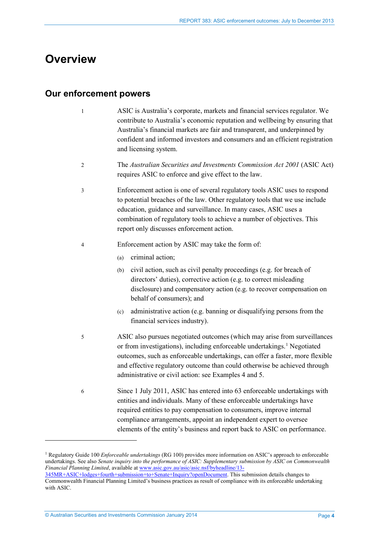## <span id="page-3-0"></span>**Overview**

## <span id="page-3-1"></span>**Our enforcement powers**

- 1 ASIC is Australia's corporate, markets and financial services regulator. We contribute to Australia's economic reputation and wellbeing by ensuring that Australia's financial markets are fair and transparent, and underpinned by confident and informed investors and consumers and an efficient registration and licensing system.
- 2 The *Australian Securities and Investments Commission Act 2001* (ASIC Act) requires ASIC to enforce and give effect to the law.
- 3 Enforcement action is one of several regulatory tools ASIC uses to respond to potential breaches of the law. Other regulatory tools that we use include education, guidance and surveillance. In many cases, ASIC uses a combination of regulatory tools to achieve a number of objectives. This report only discusses enforcement action.
- 4 Enforcement action by ASIC may take the form of:
	- (a) criminal action;
	- (b) civil action, such as civil penalty proceedings (e.g. for breach of directors' duties), corrective action (e.g. to correct misleading disclosure) and compensatory action (e.g. to recover compensation on behalf of consumers); and
	- (c) administrative action (e.g. banning or disqualifying persons from the financial services industry).
- 5 ASIC also pursues negotiated outcomes (which may arise from surveillances or from investigations), including enforceable undertakings.<sup>[1](#page-3-2)</sup> Negotiated outcomes, such as enforceable undertakings, can offer a faster, more flexible and effective regulatory outcome than could otherwise be achieved through administrative or civil action: see Examples 4 and 5.
- 6 Since 1 July 2011, ASIC has entered into 63 enforceable undertakings with entities and individuals. Many of these enforceable undertakings have required entities to pay compensation to consumers, improve internal compliance arrangements, appoint an independent expert to oversee elements of the entity's business and report back to ASIC on performance.

<span id="page-3-2"></span><sup>1</sup> Regulatory Guide 100 *Enforceable undertakings* (RG 100) provides more information on ASIC's approach to enforceable undertakings. See also *Senate inquiry into the performance of ASIC: Supplementary submission by ASIC on Commonwealth Financial Planning Limited*, available at [www.asic.gov.au/asic/asic.nsf/byheadline/13-](http://www.asic.gov.au/asic/asic.nsf/byheadline/13-345MR+ASIC+lodges+fourth+submission+to+Senate+Inquiry?openDocument) [345MR+ASIC+lodges+fourth+submission+to+Senate+Inquiry?openDocument.](http://www.asic.gov.au/asic/asic.nsf/byheadline/13-345MR+ASIC+lodges+fourth+submission+to+Senate+Inquiry?openDocument) This submission details changes to

Commonwealth Financial Planning Limited's business practices as result of compliance with its enforceable undertaking with ASIC.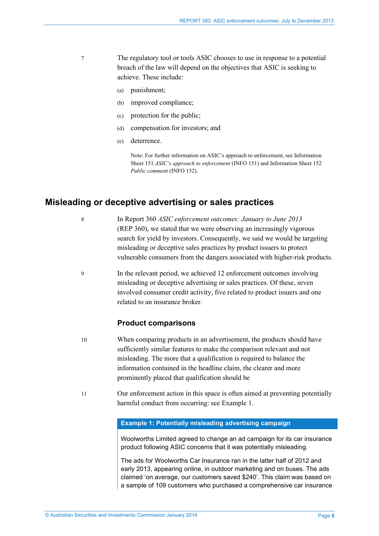- 7 The regulatory tool or tools ASIC chooses to use in response to a potential breach of the law will depend on the objectives that ASIC is seeking to achieve. These include:
	- (a) punishment;
	- (b) improved compliance;
	- (c) protection for the public;
	- (d) compensation for investors; and
	- (e) deterrence.

Note: For further information on ASIC's approach to enforcement, see Information Sheet 151 *ASIC's approach to enforcement* (INFO 151) and Information Sheet 152 *Public comment* (INFO 152).

## <span id="page-4-0"></span>**Misleading or deceptive advertising or sales practices**

8 In Report 360 *ASIC enforcement outcomes: January to June 2013*  (REP 360), we stated that we were observing an increasingly vigorous search for yield by investors. Consequently, we said we would be targeting misleading or deceptive sales practices by product issuers to protect vulnerable consumers from the dangers associated with higher-risk products.

9 In the relevant period, we achieved 12 enforcement outcomes involving misleading or deceptive advertising or sales practices. Of these, seven involved consumer credit activity, five related to product issuers and one related to an insurance broker.

#### **Product comparisons**

- 10 When comparing products in an advertisement, the products should have sufficiently similar features to make the comparison relevant and not misleading. The more that a qualification is required to balance the information contained in the headline claim, the clearer and more prominently placed that qualification should be
- 11 Our enforcement action in this space is often aimed at preventing potentially harmful conduct from occurring: see Example 1.

#### **Example 1: Potentially misleading advertising campaign**

Woolworths Limited agreed to change an ad campaign for its car insurance product following ASIC concerns that it was potentially misleading.

The ads for Woolworths Car Insurance ran in the latter half of 2012 and early 2013, appearing online, in outdoor marketing and on buses. The ads claimed 'on average, our customers saved \$240'. This claim was based on a sample of 109 customers who purchased a comprehensive car insurance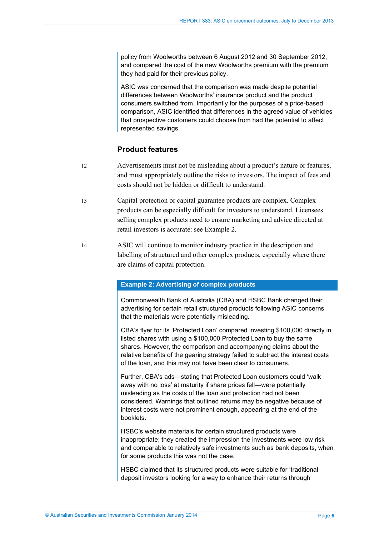policy from Woolworths between 6 August 2012 and 30 September 2012, and compared the cost of the new Woolworths premium with the premium they had paid for their previous policy.

ASIC was concerned that the comparison was made despite potential differences between Woolworths' insurance product and the product consumers switched from. Importantly for the purposes of a price-based comparison, ASIC identified that differences in the agreed value of vehicles that prospective customers could choose from had the potential to affect represented savings.

### **Product features**

- 12 Advertisements must not be misleading about a product's nature or features, and must appropriately outline the risks to investors. The impact of fees and costs should not be hidden or difficult to understand.
- 13 Capital protection or capital guarantee products are complex. Complex products can be especially difficult for investors to understand. Licensees selling complex products need to ensure marketing and advice directed at retail investors is accurate: see Example 2.
- 14 ASIC will continue to monitor industry practice in the description and labelling of structured and other complex products, especially where there are claims of capital protection.

#### **Example 2: Advertising of complex products**

Commonwealth Bank of Australia (CBA) and HSBC Bank changed their advertising for certain retail structured products following ASIC concerns that the materials were potentially misleading.

CBA's flyer for its 'Protected Loan' compared investing \$100,000 directly in listed shares with using a \$100,000 Protected Loan to buy the same shares. However, the comparison and accompanying claims about the relative benefits of the gearing strategy failed to subtract the interest costs of the loan, and this may not have been clear to consumers.

Further, CBA's ads—stating that Protected Loan customers could 'walk away with no loss' at maturity if share prices fell—were potentially misleading as the costs of the loan and protection had not been considered. Warnings that outlined returns may be negative because of interest costs were not prominent enough, appearing at the end of the booklets.

HSBC's website materials for certain structured products were inappropriate; they created the impression the investments were low risk and comparable to relatively safe investments such as bank deposits, when for some products this was not the case.

HSBC claimed that its structured products were suitable for 'traditional deposit investors looking for a way to enhance their returns through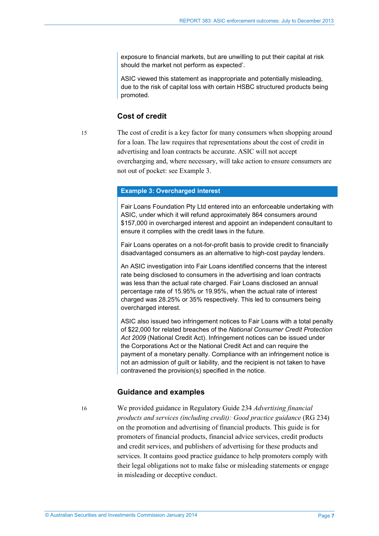exposure to financial markets, but are unwilling to put their capital at risk should the market not perform as expected'.

ASIC viewed this statement as inappropriate and potentially misleading, due to the risk of capital loss with certain HSBC structured products being promoted.

#### **Cost of credit**

15 The cost of credit is a key factor for many consumers when shopping around for a loan. The law requires that representations about the cost of credit in advertising and loan contracts be accurate. ASIC will not accept overcharging and, where necessary, will take action to ensure consumers are not out of pocket: see Example 3.

#### **Example 3: Overcharged interest**

Fair Loans Foundation Pty Ltd entered into an enforceable undertaking with ASIC, under which it will refund approximately 864 consumers around \$157,000 in overcharged interest and appoint an independent consultant to ensure it complies with the credit laws in the future.

Fair Loans operates on a not-for-profit basis to provide credit to financially disadvantaged consumers as an alternative to high-cost payday lenders.

An ASIC investigation into Fair Loans identified concerns that the interest rate being disclosed to consumers in the advertising and loan contracts was less than the actual rate charged. Fair Loans disclosed an annual percentage rate of 15.95% or 19.95%, when the actual rate of interest charged was 28.25% or 35% respectively. This led to consumers being overcharged interest.

ASIC also issued two infringement notices to Fair Loans with a total penalty of \$22,000 for related breaches of the *National Consumer Credit Protection Act 2009* (National Credit Act). Infringement notices can be issued under the Corporations Act or the National Credit Act and can require the payment of a monetary penalty. Compliance with an infringement notice is not an admission of guilt or liability, and the recipient is not taken to have contravened the provision(s) specified in the notice.

#### **Guidance and examples**

16 We provided guidance in Regulatory Guide 234 *Advertising financial products and services (including credit): Good practice guidance* (RG 234) on the promotion and advertising of financial products. This guide is for promoters of financial products, financial advice services, credit products and credit services, and publishers of advertising for these products and services. It contains good practice guidance to help promoters comply with their legal obligations not to make false or misleading statements or engage in misleading or deceptive conduct.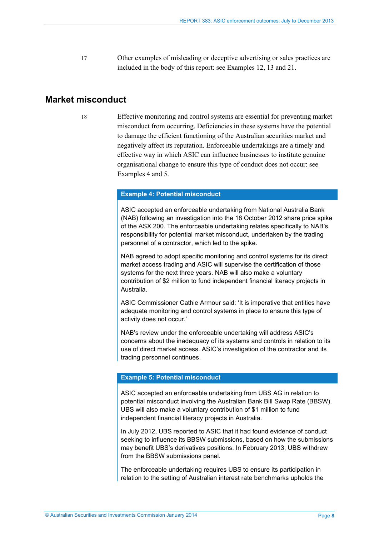17 Other examples of misleading or deceptive advertising or sales practices are included in the body of this report: see Examples 12, 13 and 21.

## <span id="page-7-0"></span>**Market misconduct**

18 Effective monitoring and control systems are essential for preventing market misconduct from occurring. Deficiencies in these systems have the potential to damage the efficient functioning of the Australian securities market and negatively affect its reputation. Enforceable undertakings are a timely and effective way in which ASIC can influence businesses to institute genuine organisational change to ensure this type of conduct does not occur: see Examples 4 and 5.

#### **Example 4: Potential misconduct**

ASIC accepted an enforceable undertaking from National Australia Bank (NAB) following an investigation into the 18 October 2012 share price spike of the ASX 200. The enforceable undertaking relates specifically to NAB's responsibility for potential market misconduct, undertaken by the trading personnel of a contractor, which led to the spike.

NAB agreed to adopt specific monitoring and control systems for its direct market access trading and ASIC will supervise the certification of those systems for the next three years. NAB will also make a voluntary contribution of \$2 million to fund independent financial literacy projects in Australia.

ASIC Commissioner Cathie Armour said: 'It is imperative that entities have adequate monitoring and control systems in place to ensure this type of activity does not occur.'

NAB's review under the enforceable undertaking will address ASIC's concerns about the inadequacy of its systems and controls in relation to its use of direct market access. ASIC's investigation of the contractor and its trading personnel continues.

#### **Example 5: Potential misconduct**

ASIC accepted an enforceable undertaking from UBS AG in relation to potential misconduct involving the Australian Bank Bill Swap Rate (BBSW). UBS will also make a voluntary contribution of \$1 million to fund independent financial literacy projects in Australia.

In July 2012, UBS reported to ASIC that it had found evidence of conduct seeking to influence its BBSW submissions, based on how the submissions may benefit UBS's derivatives positions. In February 2013, UBS withdrew from the BBSW submissions panel.

The enforceable undertaking requires UBS to ensure its participation in relation to the setting of Australian interest rate benchmarks upholds the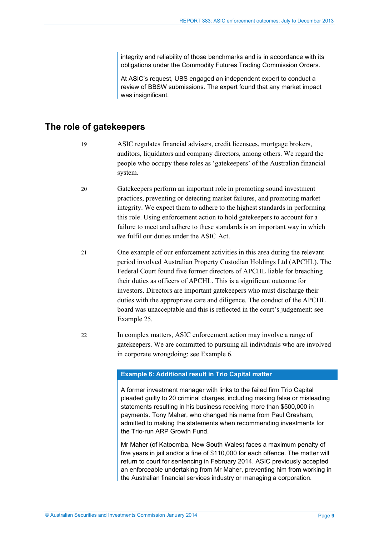integrity and reliability of those benchmarks and is in accordance with its obligations under the Commodity Futures Trading Commission Orders.

At ASIC's request, UBS engaged an independent expert to conduct a review of BBSW submissions. The expert found that any market impact was insignificant.

## <span id="page-8-0"></span>**The role of gatekeepers**

- 19 ASIC regulates financial advisers, credit licensees, mortgage brokers, auditors, liquidators and company directors, among others. We regard the people who occupy these roles as 'gatekeepers' of the Australian financial system.
- 20 Gatekeepers perform an important role in promoting sound investment practices, preventing or detecting market failures, and promoting market integrity. We expect them to adhere to the highest standards in performing this role. Using enforcement action to hold gatekeepers to account for a failure to meet and adhere to these standards is an important way in which we fulfil our duties under the ASIC Act.
- 21 One example of our enforcement activities in this area during the relevant period involved Australian Property Custodian Holdings Ltd (APCHL). The Federal Court found five former directors of APCHL liable for breaching their duties as officers of APCHL. This is a significant outcome for investors. Directors are important gatekeepers who must discharge their duties with the appropriate care and diligence. The conduct of the APCHL board was unacceptable and this is reflected in the court's judgement: see Example 25.
- 22 In complex matters, ASIC enforcement action may involve a range of gatekeepers. We are committed to pursuing all individuals who are involved in corporate wrongdoing: see Example 6.

#### **Example 6: Additional result in Trio Capital matter**

A former investment manager with links to the failed firm Trio Capital pleaded guilty to 20 criminal charges, including making false or misleading statements resulting in his business receiving more than \$500,000 in payments. Tony Maher, who changed his name from Paul Gresham, admitted to making the statements when recommending investments for the Trio-run ARP Growth Fund.

Mr Maher (of Katoomba, New South Wales) faces a maximum penalty of five years in jail and/or a fine of \$110,000 for each offence. The matter will return to court for sentencing in February 2014. ASIC previously accepted an enforceable undertaking from Mr Maher, preventing him from working in the Australian financial services industry or managing a corporation.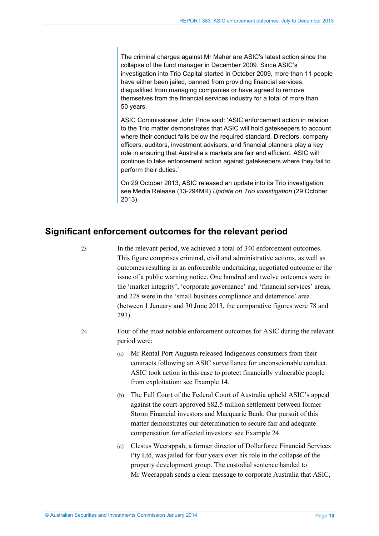The criminal charges against Mr Maher are ASIC's latest action since the collapse of the fund manager in December 2009. Since ASIC's investigation into Trio Capital started in October 2009, more than 11 people have either been jailed, banned from providing financial services, disqualified from managing companies or have agreed to remove themselves from the financial services industry for a total of more than 50 years.

ASIC Commissioner John Price said: 'ASIC enforcement action in relation to the Trio matter demonstrates that ASIC will hold gatekeepers to account where their conduct falls below the required standard. Directors, company officers, auditors, investment advisers, and financial planners play a key role in ensuring that Australia's markets are fair and efficient. ASIC will continue to take enforcement action against gatekeepers where they fail to perform their duties.'

On 29 October 2013, ASIC released an update into its Trio investigation: see Media Release (13-294MR) *Update on Trio investigation* (29 October 2013).

## <span id="page-9-0"></span>**Significant enforcement outcomes for the relevant period**

23 In the relevant period, we achieved a total of 340 enforcement outcomes. This figure comprises criminal, civil and administrative actions, as well as outcomes resulting in an enforceable undertaking, negotiated outcome or the issue of a public warning notice. One hundred and twelve outcomes were in the 'market integrity', 'corporate governance' and 'financial services' areas, and 228 were in the 'small business compliance and deterrence' area (between 1 January and 30 June 2013, the comparative figures were 78 and 293).

- 24 Four of the most notable enforcement outcomes for ASIC during the relevant period were:
	- (a) Mr Rental Port Augusta released Indigenous consumers from their contracts following an ASIC surveillance for unconscionable conduct. ASIC took action in this case to protect financially vulnerable people from exploitation: see Example 14.
	- (b) The Full Court of the Federal Court of Australia upheld ASIC's appeal against the court-approved \$82.5 million settlement between former Storm Financial investors and Macquarie Bank. Our pursuit of this matter demonstrates our determination to secure fair and adequate compensation for affected investors: see Example 24.
	- (c) Clestus Weerappah, a former director of Dollarforce Financial Services Pty Ltd, was jailed for four years over his role in the collapse of the property development group. The custodial sentence handed to Mr Weerappah sends a clear message to corporate Australia that ASIC,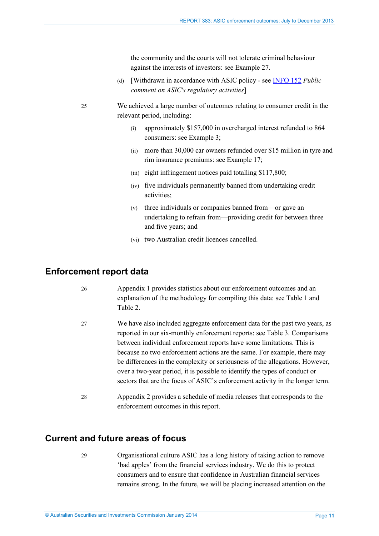the community and the courts will not tolerate criminal behaviour against the interests of investors: see Example 27.

(d) [Withdrawn in accordance with ASIC policy - see [INFO 152](http://www.asic.gov.au/about-asic/asic-investigations-and-enforcement/public-comment-on-asics-regulatory-activities/#taking) *Public comment on ASIC's regulatory activities*]

- (i) approximately \$157,000 in overcharged interest refunded to 864 consumers: see Example 3;
- (ii) more than 30,000 car owners refunded over \$15 million in tyre and rim insurance premiums: see Example 17;
- (iii) eight infringement notices paid totalling \$117,800;
- (iv) five individuals permanently banned from undertaking credit activities;
- (v) three individuals or companies banned from—or gave an undertaking to refrain from—providing credit for between three and five years; and
- (vi) two Australian credit licences cancelled.

### <span id="page-10-0"></span>**Enforcement report data**

| 26 | Appendix 1 provides statistics about our enforcement outcomes and an    |
|----|-------------------------------------------------------------------------|
|    | explanation of the methodology for compiling this data: see Table 1 and |
|    | Table 2.                                                                |

- 27 We have also included aggregate enforcement data for the past two years, as reported in our six-monthly enforcement reports: see [Table 3.](#page-40-0) Comparisons between individual enforcement reports have some limitations. This is because no two enforcement actions are the same. For example, there may be differences in the complexity or seriousness of the allegations. However, over a two-year period, it is possible to identify the types of conduct or sectors that are the focus of ASIC's enforcement activity in the longer term.
- 28 Appendix 2 provides a schedule of media releases that corresponds to the enforcement outcomes in this report.

## <span id="page-10-1"></span>**Current and future areas of focus**

29 Organisational culture ASIC has a long history of taking action to remove 'bad apples' from the financial services industry. We do this to protect consumers and to ensure that confidence in Australian financial services remains strong. In the future, we will be placing increased attention on the

<sup>25</sup> We achieved a large number of outcomes relating to consumer credit in the relevant period, including: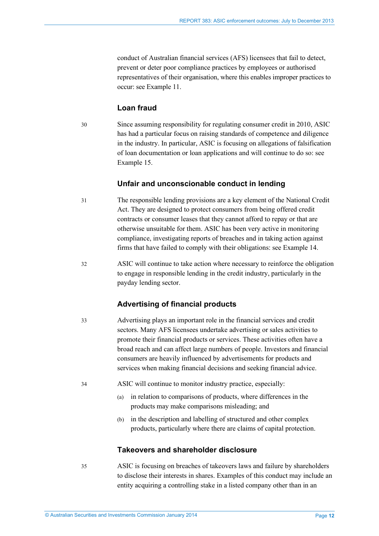conduct of Australian financial services (AFS) licensees that fail to detect, prevent or deter poor compliance practices by employees or authorised representatives of their organisation, where this enables improper practices to occur: see Example 11.

### **Loan fraud**

30 Since assuming responsibility for regulating consumer credit in 2010, ASIC has had a particular focus on raising standards of competence and diligence in the industry. In particular, ASIC is focusing on allegations of falsification of loan documentation or loan applications and will continue to do so: see Example 15.

#### **Unfair and unconscionable conduct in lending**

- 31 The responsible lending provisions are a key element of the National Credit Act. They are designed to protect consumers from being offered credit contracts or consumer leases that they cannot afford to repay or that are otherwise unsuitable for them. ASIC has been very active in monitoring compliance, investigating reports of breaches and in taking action against firms that have failed to comply with their obligations: see Example 14.
- 32 ASIC will continue to take action where necessary to reinforce the obligation to engage in responsible lending in the credit industry, particularly in the payday lending sector.

#### **Advertising of financial products**

- 33 Advertising plays an important role in the financial services and credit sectors. Many AFS licensees undertake advertising or sales activities to promote their financial products or services. These activities often have a broad reach and can affect large numbers of people. Investors and financial consumers are heavily influenced by advertisements for products and services when making financial decisions and seeking financial advice.
- 34 ASIC will continue to monitor industry practice, especially:
	- (a) in relation to comparisons of products, where differences in the products may make comparisons misleading; and
	- (b) in the description and labelling of structured and other complex products, particularly where there are claims of capital protection.

#### **Takeovers and shareholder disclosure**

35 ASIC is focusing on breaches of takeovers laws and failure by shareholders to disclose their interests in shares. Examples of this conduct may include an entity acquiring a controlling stake in a listed company other than in an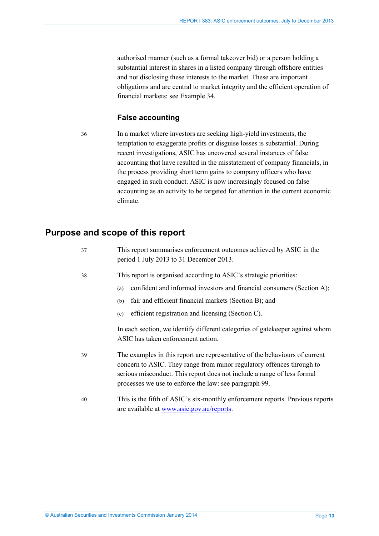authorised manner (such as a formal takeover bid) or a person holding a substantial interest in shares in a listed company through offshore entities and not disclosing these interests to the market. These are important obligations and are central to market integrity and the efficient operation of financial markets: see Example 34.

### **False accounting**

36 In a market where investors are seeking high-yield investments, the temptation to exaggerate profits or disguise losses is substantial. During recent investigations, ASIC has uncovered several instances of false accounting that have resulted in the misstatement of company financials, in the process providing short term gains to company officers who have engaged in such conduct. ASIC is now increasingly focused on false accounting as an activity to be targeted for attention in the current economic climate.

## <span id="page-12-0"></span>**Purpose and scope of this report**

| 37 | This report summarises enforcement outcomes achieved by ASIC in the<br>period 1 July 2013 to 31 December 2013.                                                                                                                                                                            |
|----|-------------------------------------------------------------------------------------------------------------------------------------------------------------------------------------------------------------------------------------------------------------------------------------------|
| 38 | This report is organised according to ASIC's strategic priorities:<br>confident and informed investors and financial consumers (Section A);<br>(a)<br>fair and efficient financial markets (Section B); and<br>(b)                                                                        |
|    | efficient registration and licensing (Section C).<br>(c)<br>In each section, we identify different categories of gatekeeper against whom<br>ASIC has taken enforcement action.                                                                                                            |
| 39 | The examples in this report are representative of the behaviours of current<br>concern to ASIC. They range from minor regulatory offences through to<br>serious misconduct. This report does not include a range of less formal<br>processes we use to enforce the law: see paragraph 99. |
| 40 | This is the fifth of ASIC's six-monthly enforcement reports. Previous reports<br>are available at www.asic.gov.au/reports.                                                                                                                                                                |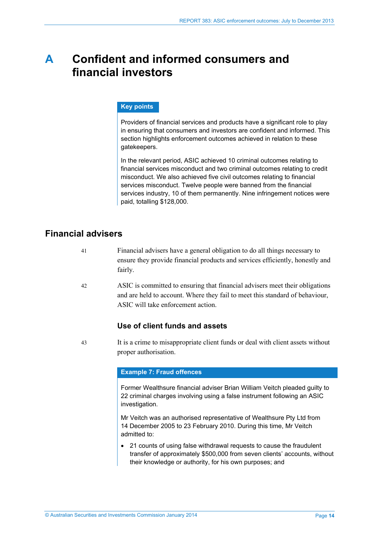## <span id="page-13-0"></span>**A Confident and informed consumers and financial investors**

#### **Key points**

Providers of financial services and products have a significant role to play in ensuring that consumers and investors are confident and informed. This section highlights enforcement outcomes achieved in relation to these gatekeepers.

In the relevant period, ASIC achieved 10 criminal outcomes relating to financial services misconduct and two criminal outcomes relating to credit misconduct. We also achieved five civil outcomes relating to financial services misconduct. Twelve people were banned from the financial services industry, 10 of them permanently. Nine infringement notices were paid, totalling \$128,000.

## <span id="page-13-1"></span>**Financial advisers**

- 41 Financial advisers have a general obligation to do all things necessary to ensure they provide financial products and services efficiently, honestly and fairly.
- 42 ASIC is committed to ensuring that financial advisers meet their obligations and are held to account. Where they fail to meet this standard of behaviour, ASIC will take enforcement action.

### **Use of client funds and assets**

43 It is a crime to misappropriate client funds or deal with client assets without proper authorisation.

#### **Example 7: Fraud offences**

Former Wealthsure financial adviser Brian William Veitch pleaded guilty to 22 criminal charges involving using a false instrument following an ASIC investigation.

Mr Veitch was an authorised representative of Wealthsure Pty Ltd from 14 December 2005 to 23 February 2010. During this time, Mr Veitch admitted to:

• 21 counts of using false withdrawal requests to cause the fraudulent transfer of approximately \$500,000 from seven clients' accounts, without their knowledge or authority, for his own purposes; and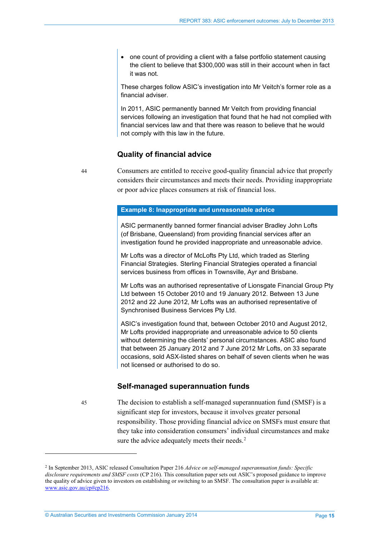• one count of providing a client with a false portfolio statement causing the client to believe that \$300,000 was still in their account when in fact it was not.

These charges follow ASIC's investigation into Mr Veitch's former role as a financial adviser.

In 2011, ASIC permanently banned Mr Veitch from providing financial services following an investigation that found that he had not complied with financial services law and that there was reason to believe that he would not comply with this law in the future.

#### **Quality of financial advice**

44 Consumers are entitled to receive good-quality financial advice that properly considers their circumstances and meets their needs. Providing inappropriate or poor advice places consumers at risk of financial loss.

#### **Example 8: Inappropriate and unreasonable advice**

ASIC permanently banned former financial adviser Bradley John Lofts (of Brisbane, Queensland) from providing financial services after an investigation found he provided inappropriate and unreasonable advice.

Mr Lofts was a director of McLofts Pty Ltd, which traded as Sterling Financial Strategies. Sterling Financial Strategies operated a financial services business from offices in Townsville, Ayr and Brisbane.

Mr Lofts was an authorised representative of Lionsgate Financial Group Pty Ltd between 15 October 2010 and 19 January 2012. Between 13 June 2012 and 22 June 2012, Mr Lofts was an authorised representative of Synchronised Business Services Pty Ltd.

ASIC's investigation found that, between October 2010 and August 2012, Mr Lofts provided inappropriate and unreasonable advice to 50 clients without determining the clients' personal circumstances. ASIC also found that between 25 January 2012 and 7 June 2012 Mr Lofts, on 33 separate occasions, sold ASX-listed shares on behalf of seven clients when he was not licensed or authorised to do so.

#### **Self-managed superannuation funds**

45 The decision to establish a self-managed superannuation fund (SMSF) is a significant step for investors, because it involves greater personal responsibility. Those providing financial advice on SMSFs must ensure that they take into consideration consumers' individual circumstances and make sure the advice adequately meets their needs.<sup>[2](#page-14-0)</sup>

© Australian Securities and Investments Commission January 2014 Page **15**

<span id="page-14-0"></span><sup>2</sup> In September 2013, ASIC released Consultation Paper 216 *Advice on self-managed superannuation funds: Specific disclosure requirements and SMSF costs* (CP 216). This consultation paper sets out ASIC's proposed guidance to improve the quality of advice given to investors on establishing or switching to an SMSF. The consultation paper is available at: [www.asic.gov.au/cp#cp216.](http://www.asic.gov.au/cp#cp216)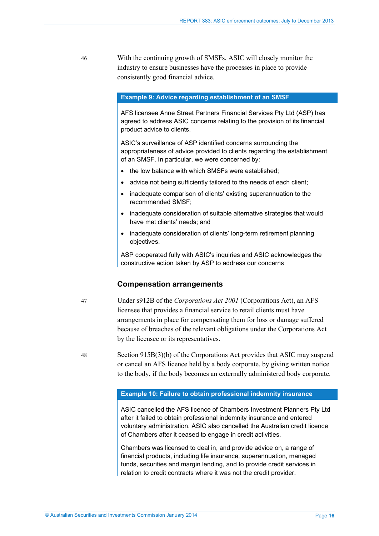46 With the continuing growth of SMSFs, ASIC will closely monitor the industry to ensure businesses have the processes in place to provide consistently good financial advice.

#### **Example 9: Advice regarding establishment of an SMSF**

AFS licensee Anne Street Partners Financial Services Pty Ltd (ASP) has agreed to address ASIC concerns relating to the provision of its financial product advice to clients.

ASIC's surveillance of ASP identified concerns surrounding the appropriateness of advice provided to clients regarding the establishment of an SMSF. In particular, we were concerned by:

- the low balance with which SMSFs were established;
- advice not being sufficiently tailored to the needs of each client;
- inadequate comparison of clients' existing superannuation to the recommended SMSF;
- inadequate consideration of suitable alternative strategies that would have met clients' needs; and
- inadequate consideration of clients' long-term retirement planning objectives.

ASP cooperated fully with ASIC's inquiries and ASIC acknowledges the constructive action taken by ASP to address our concerns

#### **Compensation arrangements**

- 47 Under s912B of the *Corporations Act 2001* (Corporations Act), an AFS licensee that provides a financial service to retail clients must have arrangements in place for compensating them for loss or damage suffered because of breaches of the relevant obligations under the Corporations Act by the licensee or its representatives.
- 48 Section 915B(3)(b) of the Corporations Act provides that ASIC may suspend or cancel an AFS licence held by a body corporate, by giving written notice to the body, if the body becomes an externally administered body corporate.

#### **Example 10: Failure to obtain professional indemnity insurance**

ASIC cancelled the AFS licence of Chambers Investment Planners Pty Ltd after it failed to obtain professional indemnity insurance and entered voluntary administration. ASIC also cancelled the Australian credit licence of Chambers after it ceased to engage in credit activities.

Chambers was licensed to deal in, and provide advice on, a range of financial products, including life insurance, superannuation, managed funds, securities and margin lending, and to provide credit services in relation to credit contracts where it was not the credit provider.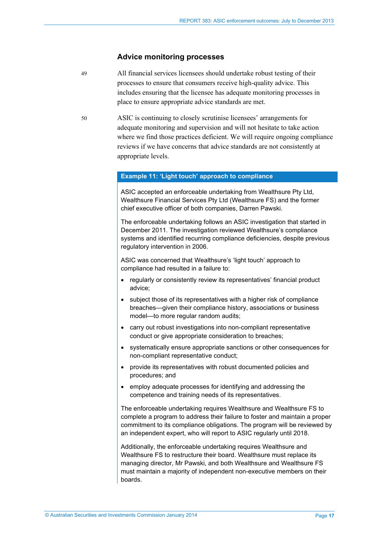#### **Advice monitoring processes**

- 49 All financial services licensees should undertake robust testing of their processes to ensure that consumers receive high-quality advice. This includes ensuring that the licensee has adequate monitoring processes in place to ensure appropriate advice standards are met.
- 50 ASIC is continuing to closely scrutinise licensees' arrangements for adequate monitoring and supervision and will not hesitate to take action where we find those practices deficient. We will require ongoing compliance reviews if we have concerns that advice standards are not consistently at appropriate levels.

#### **Example 11: 'Light touch' approach to compliance**

ASIC accepted an enforceable undertaking from Wealthsure Pty Ltd, Wealthsure Financial Services Pty Ltd (Wealthsure FS) and the former chief executive officer of both companies, Darren Pawski.

The enforceable undertaking follows an ASIC investigation that started in December 2011. The investigation reviewed Wealthsure's compliance systems and identified recurring compliance deficiencies, despite previous regulatory intervention in 2006.

ASIC was concerned that Wealthsure's 'light touch' approach to compliance had resulted in a failure to:

- regularly or consistently review its representatives' financial product advice;
- subject those of its representatives with a higher risk of compliance breaches—given their compliance history, associations or business model—to more regular random audits;
- carry out robust investigations into non-compliant representative conduct or give appropriate consideration to breaches;
- systematically ensure appropriate sanctions or other consequences for non-compliant representative conduct;
- provide its representatives with robust documented policies and procedures; and
- employ adequate processes for identifying and addressing the competence and training needs of its representatives.

The enforceable undertaking requires Wealthsure and Wealthsure FS to complete a program to address their failure to foster and maintain a proper commitment to its compliance obligations. The program will be reviewed by an independent expert, who will report to ASIC regularly until 2018.

Additionally, the enforceable undertaking requires Wealthsure and Wealthsure FS to restructure their board. Wealthsure must replace its managing director, Mr Pawski, and both Wealthsure and Wealthsure FS must maintain a majority of independent non-executive members on their boards.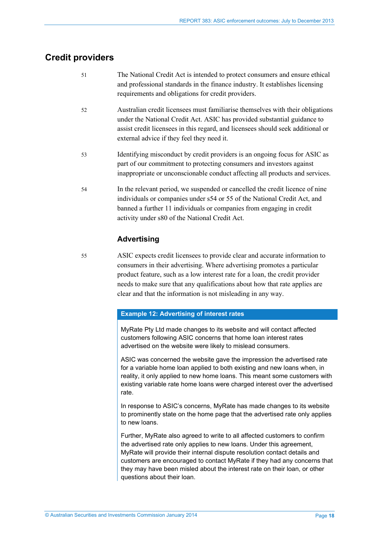## <span id="page-17-0"></span>**Credit providers**

- 51 The National Credit Act is intended to protect consumers and ensure ethical and professional standards in the finance industry. It establishes licensing requirements and obligations for credit providers.
- 52 Australian credit licensees must familiarise themselves with their obligations under the National Credit Act. ASIC has provided substantial guidance to assist credit licensees in this regard, and licensees should seek additional or external advice if they feel they need it.
- 53 Identifying misconduct by credit providers is an ongoing focus for ASIC as part of our commitment to protecting consumers and investors against inappropriate or unconscionable conduct affecting all products and services.
- 54 In the relevant period, we suspended or cancelled the credit licence of nine individuals or companies under s54 or 55 of the National Credit Act, and banned a further 11 individuals or companies from engaging in credit activity under s80 of the National Credit Act.

### **Advertising**

55 ASIC expects credit licensees to provide clear and accurate information to consumers in their advertising. Where advertising promotes a particular product feature, such as a low interest rate for a loan, the credit provider needs to make sure that any qualifications about how that rate applies are clear and that the information is not misleading in any way.

#### **Example 12: Advertising of interest rates**

MyRate Pty Ltd made changes to its website and will contact affected customers following ASIC concerns that home loan interest rates advertised on the website were likely to mislead consumers.

ASIC was concerned the website gave the impression the advertised rate for a variable home loan applied to both existing and new loans when, in reality, it only applied to new home loans. This meant some customers with existing variable rate home loans were charged interest over the advertised rate.

In response to ASIC's concerns, MyRate has made changes to its website to prominently state on the home page that the advertised rate only applies to new loans.

Further, MyRate also agreed to write to all affected customers to confirm the advertised rate only applies to new loans. Under this agreement, MyRate will provide their internal dispute resolution contact details and customers are encouraged to contact MyRate if they had any concerns that they may have been misled about the interest rate on their loan, or other questions about their loan.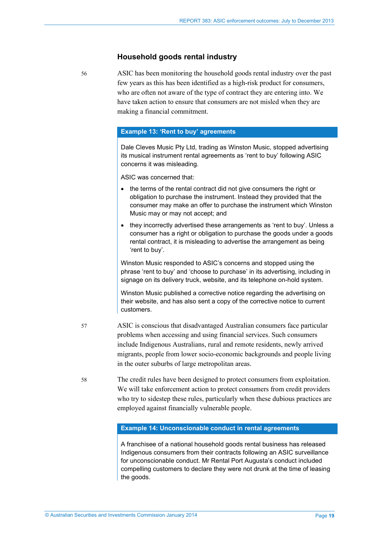#### **Household goods rental industry**

56 ASIC has been monitoring the household goods rental industry over the past few years as this has been identified as a high-risk product for consumers, who are often not aware of the type of contract they are entering into. We have taken action to ensure that consumers are not misled when they are making a financial commitment.

#### **Example 13: 'Rent to buy' agreements**

Dale Cleves Music Pty Ltd, trading as Winston Music, stopped advertising its musical instrument rental agreements as 'rent to buy' following ASIC concerns it was misleading.

ASIC was concerned that:

- the terms of the rental contract did not give consumers the right or obligation to purchase the instrument. Instead they provided that the consumer may make an offer to purchase the instrument which Winston Music may or may not accept; and
- they incorrectly advertised these arrangements as 'rent to buy'. Unless a consumer has a right or obligation to purchase the goods under a goods rental contract, it is misleading to advertise the arrangement as being 'rent to buy'.

Winston Music responded to ASIC's concerns and stopped using the phrase 'rent to buy' and 'choose to purchase' in its advertising, including in signage on its delivery truck, website, and its telephone on-hold system.

Winston Music published a corrective notice regarding the advertising on their website, and has also sent a copy of the corrective notice to current customers.

- 57 ASIC is conscious that disadvantaged Australian consumers face particular problems when accessing and using financial services. Such consumers include Indigenous Australians, rural and remote residents, newly arrived migrants, people from lower socio-economic backgrounds and people living in the outer suburbs of large metropolitan areas.
	- 58 The credit rules have been designed to protect consumers from exploitation. We will take enforcement action to protect consumers from credit providers who try to sidestep these rules, particularly when these dubious practices are employed against financially vulnerable people.

#### **Example 14: Unconscionable conduct in rental agreements**

A franchisee of a national household goods rental business has released Indigenous consumers from their contracts following an ASIC surveillance for unconscionable conduct. Mr Rental Port Augusta's conduct included compelling customers to declare they were not drunk at the time of leasing the goods.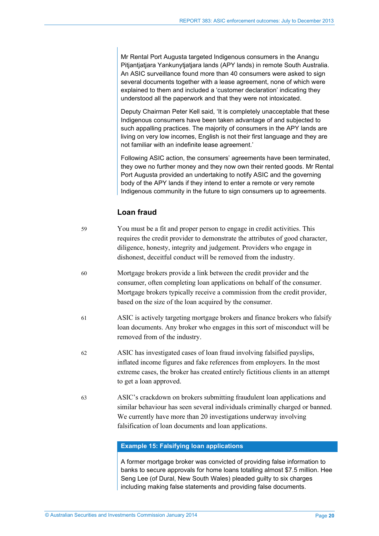Mr Rental Port Augusta targeted Indigenous consumers in the Anangu Pitjantjatjara Yankunytjatjara lands (APY lands) in remote South Australia. An ASIC surveillance found more than 40 consumers were asked to sign several documents together with a lease agreement, none of which were explained to them and included a 'customer declaration' indicating they understood all the paperwork and that they were not intoxicated.

Deputy Chairman Peter Kell said, 'It is completely unacceptable that these Indigenous consumers have been taken advantage of and subjected to such appalling practices. The majority of consumers in the APY lands are living on very low incomes, English is not their first language and they are not familiar with an indefinite lease agreement.'

Following ASIC action, the consumers' agreements have been terminated, they owe no further money and they now own their rented goods. Mr Rental Port Augusta provided an undertaking to notify ASIC and the governing body of the APY lands if they intend to enter a remote or very remote Indigenous community in the future to sign consumers up to agreements.

## **Loan fraud**

- 59 You must be a fit and proper person to engage in credit activities. This requires the credit provider to demonstrate the attributes of good character, diligence, honesty, integrity and judgement. Providers who engage in dishonest, deceitful conduct will be removed from the industry.
- 60 Mortgage brokers provide a link between the credit provider and the consumer, often completing loan applications on behalf of the consumer. Mortgage brokers typically receive a commission from the credit provider, based on the size of the loan acquired by the consumer.
- 61 ASIC is actively targeting mortgage brokers and finance brokers who falsify loan documents. Any broker who engages in this sort of misconduct will be removed from of the industry.
- 62 ASIC has investigated cases of loan fraud involving falsified payslips, inflated income figures and fake references from employers. In the most extreme cases, the broker has created entirely fictitious clients in an attempt to get a loan approved.
- 63 ASIC's crackdown on brokers submitting fraudulent loan applications and similar behaviour has seen several individuals criminally charged or banned. We currently have more than 20 investigations underway involving falsification of loan documents and loan applications.

#### **Example 15: Falsifying loan applications**

A former mortgage broker was convicted of providing false information to banks to secure approvals for home loans totalling almost \$7.5 million. Hee Seng Lee (of Dural, New South Wales) pleaded guilty to six charges including making false statements and providing false documents.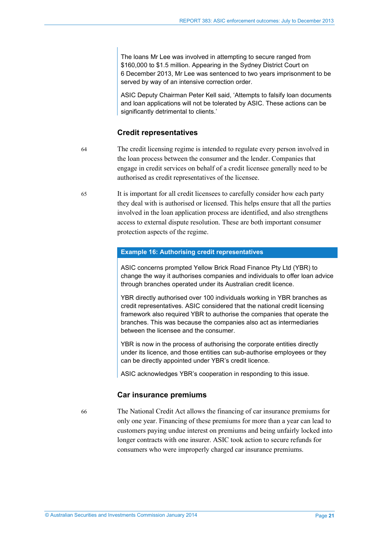The loans Mr Lee was involved in attempting to secure ranged from \$160,000 to \$1.5 million. Appearing in the Sydney District Court on 6 December 2013, Mr Lee was sentenced to two years imprisonment to be served by way of an intensive correction order.

ASIC Deputy Chairman Peter Kell said, 'Attempts to falsify loan documents and loan applications will not be tolerated by ASIC. These actions can be significantly detrimental to clients.'

#### **Credit representatives**

64 The credit licensing regime is intended to regulate every person involved in the loan process between the consumer and the lender. Companies that engage in credit services on behalf of a credit licensee generally need to be authorised as credit representatives of the licensee.

65 It is important for all credit licensees to carefully consider how each party they deal with is authorised or licensed. This helps ensure that all the parties involved in the loan application process are identified, and also strengthens access to external dispute resolution. These are both important consumer protection aspects of the regime.

#### **Example 16: Authorising credit representatives**

ASIC concerns prompted Yellow Brick Road Finance Pty Ltd (YBR) to change the way it authorises companies and individuals to offer loan advice through branches operated under its Australian credit licence.

YBR directly authorised over 100 individuals working in YBR branches as credit representatives. ASIC considered that the national credit licensing framework also required YBR to authorise the companies that operate the branches. This was because the companies also act as intermediaries between the licensee and the consumer.

YBR is now in the process of authorising the corporate entities directly under its licence, and those entities can sub-authorise employees or they can be directly appointed under YBR's credit licence.

ASIC acknowledges YBR's cooperation in responding to this issue.

#### **Car insurance premiums**

66 The National Credit Act allows the financing of car insurance premiums for only one year. Financing of these premiums for more than a year can lead to customers paying undue interest on premiums and being unfairly locked into longer contracts with one insurer. ASIC took action to secure refunds for consumers who were improperly charged car insurance premiums.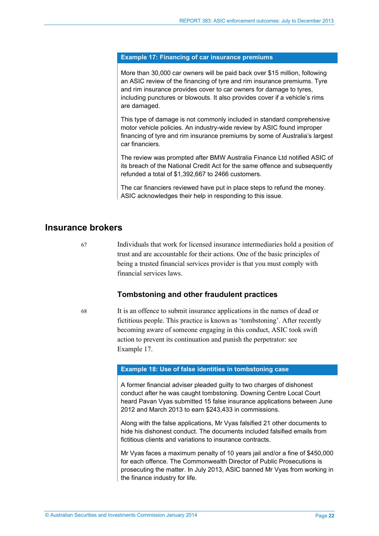#### **Example 17: Financing of car insurance premiums**

More than 30,000 car owners will be paid back over \$15 million, following an ASIC review of the financing of tyre and rim insurance premiums. Tyre and rim insurance provides cover to car owners for damage to tyres, including punctures or blowouts. It also provides cover if a vehicle's rims are damaged.

This type of damage is not commonly included in standard comprehensive motor vehicle policies. An industry-wide review by ASIC found improper financing of tyre and rim insurance premiums by some of Australia's largest car financiers.

The review was prompted after BMW Australia Finance Ltd notified ASIC of its breach of the National Credit Act for the same offence and subsequently refunded a total of \$1,392,667 to 2466 customers.

The car financiers reviewed have put in place steps to refund the money. ASIC acknowledges their help in responding to this issue.

## <span id="page-21-0"></span>**Insurance brokers**

67 Individuals that work for licensed insurance intermediaries hold a position of trust and are accountable for their actions. One of the basic principles of being a trusted financial services provider is that you must comply with financial services laws.

#### **Tombstoning and other fraudulent practices**

68 It is an offence to submit insurance applications in the names of dead or fictitious people. This practice is known as 'tombstoning'. After recently becoming aware of someone engaging in this conduct, ASIC took swift action to prevent its continuation and punish the perpetrator: see Example 17.

#### **Example 18: Use of false identities in tombstoning case**

A former financial adviser pleaded guilty to two charges of dishonest conduct after he was caught tombstoning. Downing Centre Local Court heard Pavan Vyas submitted 15 false insurance applications between June 2012 and March 2013 to earn \$243,433 in commissions.

Along with the false applications, Mr Vyas falsified 21 other documents to hide his dishonest conduct. The documents included falsified emails from fictitious clients and variations to insurance contracts.

Mr Vyas faces a maximum penalty of 10 years jail and/or a fine of \$450,000 for each offence. The Commonwealth Director of Public Prosecutions is prosecuting the matter. In July 2013, ASIC banned Mr Vyas from working in the finance industry for life.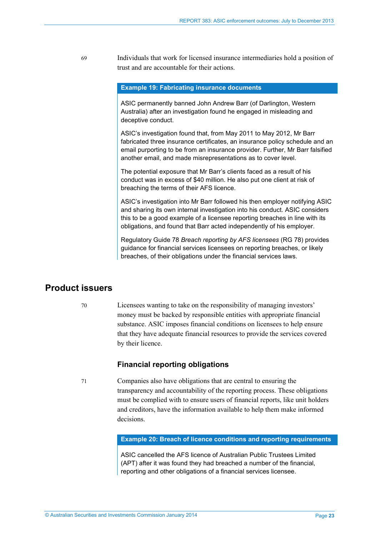69 Individuals that work for licensed insurance intermediaries hold a position of trust and are accountable for their actions.

#### **Example 19: Fabricating insurance documents**

ASIC permanently banned John Andrew Barr (of Darlington, Western Australia) after an investigation found he engaged in misleading and deceptive conduct.

ASIC's investigation found that, from May 2011 to May 2012, Mr Barr fabricated three insurance certificates, an insurance policy schedule and an email purporting to be from an insurance provider. Further, Mr Barr falsified another email, and made misrepresentations as to cover level.

The potential exposure that Mr Barr's clients faced as a result of his conduct was in excess of \$40 million. He also put one client at risk of breaching the terms of their AFS licence.

ASIC's investigation into Mr Barr followed his then employer notifying ASIC and sharing its own internal investigation into his conduct. ASIC considers this to be a good example of a licensee reporting breaches in line with its obligations, and found that Barr acted independently of his employer.

Regulatory Guide 78 *Breach reporting by AFS licensees* (RG 78) provides guidance for financial services licensees on reporting breaches, or likely breaches, of their obligations under the financial services laws.

## <span id="page-22-0"></span>**Product issuers**

70 Licensees wanting to take on the responsibility of managing investors' money must be backed by responsible entities with appropriate financial substance. ASIC imposes financial conditions on licensees to help ensure that they have adequate financial resources to provide the services covered by their licence.

#### **Financial reporting obligations**

71 Companies also have obligations that are central to ensuring the transparency and accountability of the reporting process. These obligations must be complied with to ensure users of financial reports, like unit holders and creditors, have the information available to help them make informed decisions.

**Example 20: Breach of licence conditions and reporting requirements**

ASIC cancelled the AFS licence of Australian Public Trustees Limited (APT) after it was found they had breached a number of the financial, reporting and other obligations of a financial services licensee.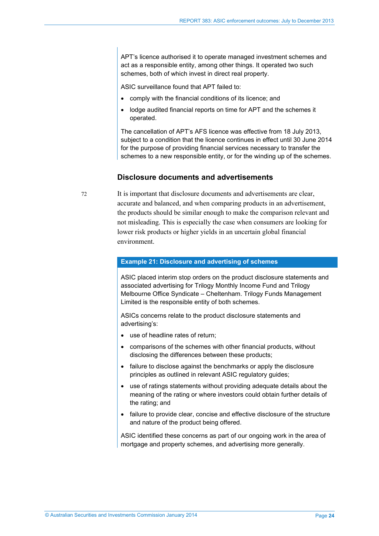APT's licence authorised it to operate managed investment schemes and act as a responsible entity, among other things. It operated two such schemes, both of which invest in direct real property.

ASIC surveillance found that APT failed to:

- comply with the financial conditions of its licence; and
- lodge audited financial reports on time for APT and the schemes it operated.

The cancellation of APT's AFS licence was effective from 18 July 2013, subject to a condition that the licence continues in effect until 30 June 2014 for the purpose of providing financial services necessary to transfer the schemes to a new responsible entity, or for the winding up of the schemes.

#### **Disclosure documents and advertisements**

72 It is important that disclosure documents and advertisements are clear, accurate and balanced, and when comparing products in an advertisement, the products should be similar enough to make the comparison relevant and not misleading. This is especially the case when consumers are looking for lower risk products or higher yields in an uncertain global financial environment.

#### **Example 21: Disclosure and advertising of schemes**

ASIC placed interim stop orders on the product disclosure statements and associated advertising for Trilogy Monthly Income Fund and Trilogy Melbourne Office Syndicate – Cheltenham. Trilogy Funds Management Limited is the responsible entity of both schemes.

ASICs concerns relate to the product disclosure statements and advertising's:

- use of headline rates of return;
- comparisons of the schemes with other financial products, without disclosing the differences between these products;
- failure to disclose against the benchmarks or apply the disclosure principles as outlined in relevant ASIC regulatory guides;
- use of ratings statements without providing adequate details about the meaning of the rating or where investors could obtain further details of the rating; and
- failure to provide clear, concise and effective disclosure of the structure and nature of the product being offered.

ASIC identified these concerns as part of our ongoing work in the area of mortgage and property schemes, and advertising more generally.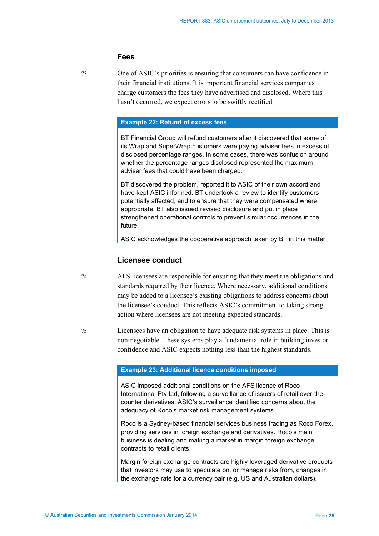#### **Fees**

73 One of ASIC's priorities is ensuring that consumers can have confidence in their financial institutions. It is important financial services companies charge customers the fees they have advertised and disclosed. Where this hasn't occurred, we expect errors to be swiftly rectified.

#### **Example 22: Refund of excess fees**

BT Financial Group will refund customers after it discovered that some of its Wrap and SuperWrap customers were paying adviser fees in excess of disclosed percentage ranges. In some cases, there was confusion around whether the percentage ranges disclosed represented the maximum adviser fees that could have been charged.

BT discovered the problem, reported it to ASIC of their own accord and have kept ASIC informed. BT undertook a review to identify customers potentially affected, and to ensure that they were compensated where appropriate. BT also issued revised disclosure and put in place strengthened operational controls to prevent similar occurrences in the future.

ASIC acknowledges the cooperative approach taken by BT in this matter.

#### **Licensee conduct**

- 74 AFS licensees are responsible for ensuring that they meet the obligations and standards required by their licence. Where necessary, additional conditions may be added to a licensee's existing obligations to address concerns about the licensee's conduct. This reflects ASIC's commitment to taking strong action where licensees are not meeting expected standards.
- 75 Licensees have an obligation to have adequate risk systems in place. This is non-negotiable. These systems play a fundamental role in building investor confidence and ASIC expects nothing less than the highest standards.

#### **Example 23: Additional licence conditions imposed**

ASIC imposed additional conditions on the AFS licence of Roco International Pty Ltd, following a surveillance of issuers of retail over-thecounter derivatives. ASIC's surveillance identified concerns about the adequacy of Roco's market risk management systems.

Roco is a Sydney-based financial services business trading as Roco Forex, providing services in foreign exchange and derivatives. Roco's main business is dealing and making a market in margin foreign exchange contracts to retail clients.

Margin foreign exchange contracts are highly leveraged derivative products that investors may use to speculate on, or manage risks from, changes in the exchange rate for a currency pair (e.g. US and Australian dollars).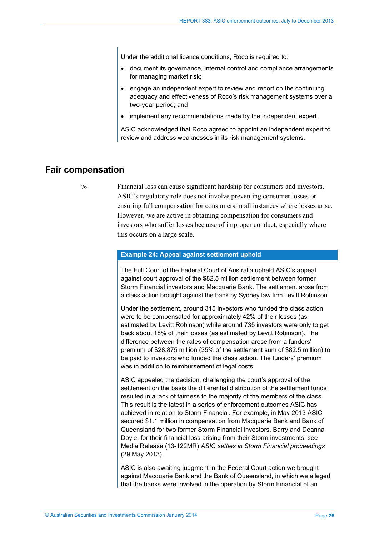Under the additional licence conditions, Roco is required to:

- document its governance, internal control and compliance arrangements for managing market risk;
- engage an independent expert to review and report on the continuing adequacy and effectiveness of Roco's risk management systems over a two-year period; and
- implement any recommendations made by the independent expert.

ASIC acknowledged that Roco agreed to appoint an independent expert to review and address weaknesses in its risk management systems.

## <span id="page-25-0"></span>**Fair compensation**

76 Financial loss can cause significant hardship for consumers and investors. ASIC's regulatory role does not involve preventing consumer losses or ensuring full compensation for consumers in all instances where losses arise. However, we are active in obtaining compensation for consumers and investors who suffer losses because of improper conduct, especially where this occurs on a large scale.

#### **Example 24: Appeal against settlement upheld**

The Full Court of the Federal Court of Australia upheld ASIC's appeal against court approval of the \$82.5 million settlement between former Storm Financial investors and Macquarie Bank. The settlement arose from a class action brought against the bank by Sydney law firm Levitt Robinson.

Under the settlement, around 315 investors who funded the class action were to be compensated for approximately 42% of their losses (as estimated by Levitt Robinson) while around 735 investors were only to get back about 18% of their losses (as estimated by Levitt Robinson). The difference between the rates of compensation arose from a funders' premium of \$28.875 million (35% of the settlement sum of \$82.5 million) to be paid to investors who funded the class action. The funders' premium was in addition to reimbursement of legal costs.

ASIC appealed the decision, challenging the court's approval of the settlement on the basis the differential distribution of the settlement funds resulted in a lack of fairness to the majority of the members of the class. This result is the latest in a series of enforcement outcomes ASIC has achieved in relation to Storm Financial. For example, in May 2013 ASIC secured \$1.1 million in compensation from Macquarie Bank and Bank of Queensland for two former Storm Financial investors, Barry and Deanna Doyle, for their financial loss arising from their Storm investments: see Media Release (13-122MR) *ASIC settles in Storm Financial proceedings* (29 May 2013).

ASIC is also awaiting judgment in the Federal Court action we brought against Macquarie Bank and the Bank of Queensland, in which we alleged that the banks were involved in the operation by Storm Financial of an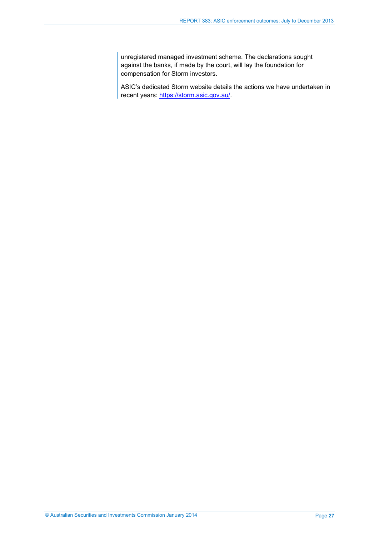unregistered managed investment scheme. The declarations sought against the banks, if made by the court, will lay the foundation for compensation for Storm investors.

ASIC's dedicated Storm website details the actions we have undertaken in recent years: [https://storm.asic.gov.au/.](https://storm.asic.gov.au/)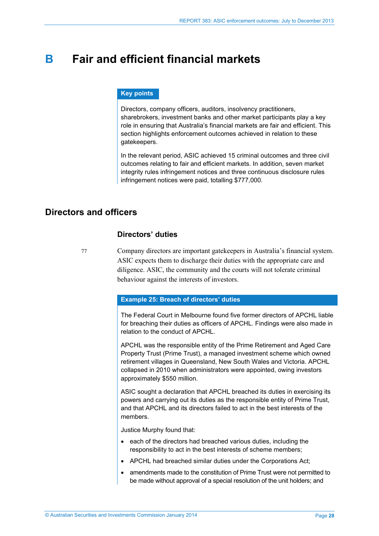## <span id="page-27-0"></span>**B Fair and efficient financial markets**

#### **Key points**

Directors, company officers, auditors, insolvency practitioners, sharebrokers, investment banks and other market participants play a key role in ensuring that Australia's financial markets are fair and efficient. This section highlights enforcement outcomes achieved in relation to these gatekeepers.

In the relevant period, ASIC achieved 15 criminal outcomes and three civil outcomes relating to fair and efficient markets. In addition, seven market integrity rules infringement notices and three continuous disclosure rules infringement notices were paid, totalling \$777,000.

## <span id="page-27-1"></span>**Directors and officers**

#### **Directors' duties**

77 Company directors are important gatekeepers in Australia's financial system. ASIC expects them to discharge their duties with the appropriate care and diligence. ASIC, the community and the courts will not tolerate criminal behaviour against the interests of investors.

#### **Example 25: Breach of directors' duties**

The Federal Court in Melbourne found five former directors of APCHL liable for breaching their duties as officers of APCHL. Findings were also made in relation to the conduct of APCHL.

APCHL was the responsible entity of the Prime Retirement and Aged Care Property Trust (Prime Trust), a managed investment scheme which owned retirement villages in Queensland, New South Wales and Victoria. APCHL collapsed in 2010 when administrators were appointed, owing investors approximately \$550 million.

ASIC sought a declaration that APCHL breached its duties in exercising its powers and carrying out its duties as the responsible entity of Prime Trust, and that APCHL and its directors failed to act in the best interests of the members.

Justice Murphy found that:

- each of the directors had breached various duties, including the responsibility to act in the best interests of scheme members;
- APCHL had breached similar duties under the Corporations Act;
- amendments made to the constitution of Prime Trust were not permitted to be made without approval of a special resolution of the unit holders; and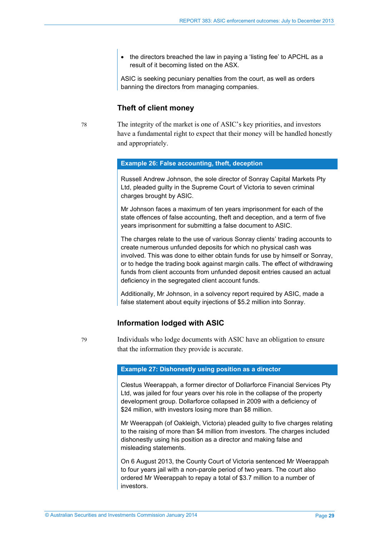• the directors breached the law in paying a 'listing fee' to APCHL as a result of it becoming listed on the ASX.

ASIC is seeking pecuniary penalties from the court, as well as orders banning the directors from managing companies.

#### **Theft of client money**

78 The integrity of the market is one of ASIC's key priorities, and investors have a fundamental right to expect that their money will be handled honestly and appropriately.

#### **Example 26: False accounting, theft, deception**

Russell Andrew Johnson, the sole director of Sonray Capital Markets Pty Ltd, pleaded guilty in the Supreme Court of Victoria to seven criminal charges brought by ASIC.

Mr Johnson faces a maximum of ten years imprisonment for each of the state offences of false accounting, theft and deception, and a term of five years imprisonment for submitting a false document to ASIC.

The charges relate to the use of various Sonray clients' trading accounts to create numerous unfunded deposits for which no physical cash was involved. This was done to either obtain funds for use by himself or Sonray, or to hedge the trading book against margin calls. The effect of withdrawing funds from client accounts from unfunded deposit entries caused an actual deficiency in the segregated client account funds.

Additionally, Mr Johnson, in a solvency report required by ASIC, made a false statement about equity injections of \$5.2 million into Sonray.

#### **Information lodged with ASIC**

79 Individuals who lodge documents with ASIC have an obligation to ensure that the information they provide is accurate.

#### **Example 27: Dishonestly using position as a director**

Clestus Weerappah, a former director of Dollarforce Financial Services Pty Ltd, was jailed for four years over his role in the collapse of the property development group. Dollarforce collapsed in 2009 with a deficiency of \$24 million, with investors losing more than \$8 million.

Mr Weerappah (of Oakleigh, Victoria) pleaded guilty to five charges relating to the raising of more than \$4 million from investors. The charges included dishonestly using his position as a director and making false and misleading statements.

On 6 August 2013, the County Court of Victoria sentenced Mr Weerappah to four years jail with a non-parole period of two years. The court also ordered Mr Weerappah to repay a total of \$3.7 million to a number of investors.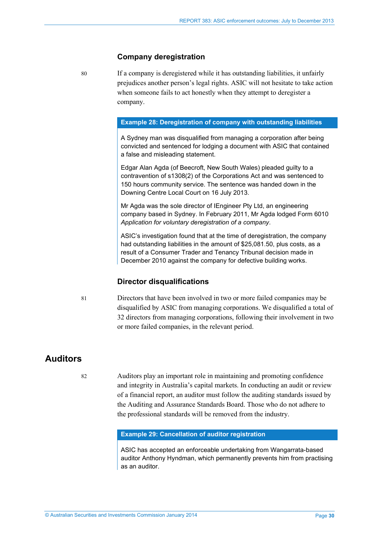#### **Company deregistration**

80 If a company is deregistered while it has outstanding liabilities, it unfairly prejudices another person's legal rights. ASIC will not hesitate to take action when someone fails to act honestly when they attempt to deregister a company.

#### **Example 28: Deregistration of company with outstanding liabilities**

A Sydney man was disqualified from managing a corporation after being convicted and sentenced for lodging a document with ASIC that contained a false and misleading statement.

Edgar Alan Agda (of Beecroft, New South Wales) pleaded guilty to a contravention of s1308(2) of the Corporations Act and was sentenced to 150 hours community service. The sentence was handed down in the Downing Centre Local Court on 16 July 2013.

Mr Agda was the sole director of IEngineer Pty Ltd, an engineering company based in Sydney. In February 2011, Mr Agda lodged Form 6010 *Application for voluntary deregistration of a company*.

ASIC's investigation found that at the time of deregistration, the company had outstanding liabilities in the amount of \$25,081.50, plus costs, as a result of a Consumer Trader and Tenancy Tribunal decision made in December 2010 against the company for defective building works.

#### **Director disqualifications**

81 Directors that have been involved in two or more failed companies may be disqualified by ASIC from managing corporations. We disqualified a total of 32 directors from managing corporations, following their involvement in two or more failed companies, in the relevant period.

## <span id="page-29-0"></span>**Auditors**

82 Auditors play an important role in maintaining and promoting confidence and integrity in Australia's capital markets. In conducting an audit or review of a financial report, an auditor must follow the auditing standards issued by the Auditing and Assurance Standards Board. Those who do not adhere to the professional standards will be removed from the industry.

#### **Example 29: Cancellation of auditor registration**

ASIC has accepted an enforceable undertaking from Wangarrata-based auditor Anthony Hyndman, which permanently prevents him from practising as an auditor.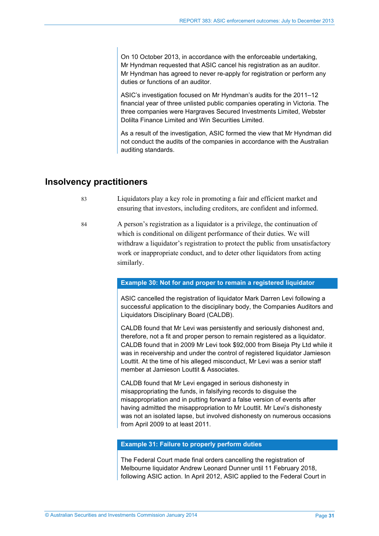On 10 October 2013, in accordance with the enforceable undertaking, Mr Hyndman requested that ASIC cancel his registration as an auditor. Mr Hyndman has agreed to never re-apply for registration or perform any duties or functions of an auditor.

ASIC's investigation focused on Mr Hyndman's audits for the 2011–12 financial year of three unlisted public companies operating in Victoria. The three companies were Hargraves Secured Investments Limited, Webster Dolilta Finance Limited and Win Securities Limited.

As a result of the investigation, ASIC formed the view that Mr Hyndman did not conduct the audits of the companies in accordance with the Australian auditing standards.

## <span id="page-30-0"></span>**Insolvency practitioners**

- 83 Liquidators play a key role in promoting a fair and efficient market and ensuring that investors, including creditors, are confident and informed.
- 84 A person's registration as a liquidator is a privilege, the continuation of which is conditional on diligent performance of their duties. We will withdraw a liquidator's registration to protect the public from unsatisfactory work or inappropriate conduct, and to deter other liquidators from acting similarly.

#### **Example 30: Not for and proper to remain a registered liquidator**

ASIC cancelled the registration of liquidator Mark Darren Levi following a successful application to the disciplinary body, the Companies Auditors and Liquidators Disciplinary Board (CALDB).

CALDB found that Mr Levi was persistently and seriously dishonest and, therefore, not a fit and proper person to remain registered as a liquidator. CALDB found that in 2009 Mr Levi took \$92,000 from Biseja Pty Ltd while it was in receivership and under the control of registered liquidator Jamieson Louttit. At the time of his alleged misconduct, Mr Levi was a senior staff member at Jamieson Louttit & Associates.

CALDB found that Mr Levi engaged in serious dishonesty in misappropriating the funds, in falsifying records to disguise the misappropriation and in putting forward a false version of events after having admitted the misappropriation to Mr Louttit. Mr Levi's dishonesty was not an isolated lapse, but involved dishonesty on numerous occasions from April 2009 to at least 2011.

#### **Example 31: Failure to properly perform duties**

The Federal Court made final orders cancelling the registration of Melbourne liquidator Andrew Leonard Dunner until 11 February 2018, following ASIC action. In April 2012, ASIC applied to the Federal Court in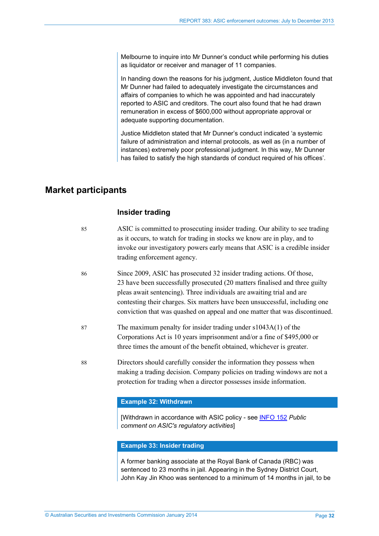Melbourne to inquire into Mr Dunner's conduct while performing his duties as liquidator or receiver and manager of 11 companies.

In handing down the reasons for his judgment, Justice Middleton found that Mr Dunner had failed to adequately investigate the circumstances and affairs of companies to which he was appointed and had inaccurately reported to ASIC and creditors. The court also found that he had drawn remuneration in excess of \$600,000 without appropriate approval or adequate supporting documentation.

Justice Middleton stated that Mr Dunner's conduct indicated 'a systemic failure of administration and internal protocols, as well as (in a number of instances) extremely poor professional judgment. In this way, Mr Dunner has failed to satisfy the high standards of conduct required of his offices'.

## <span id="page-31-0"></span>**Market participants**

### **Insider trading**

- 85 ASIC is committed to prosecuting insider trading. Our ability to see trading as it occurs, to watch for trading in stocks we know are in play, and to invoke our investigatory powers early means that ASIC is a credible insider trading enforcement agency.
- 86 Since 2009, ASIC has prosecuted 32 insider trading actions. Of those, 23 have been successfully prosecuted (20 matters finalised and three guilty pleas await sentencing). Three individuals are awaiting trial and are contesting their charges. Six matters have been unsuccessful, including one conviction that was quashed on appeal and one matter that was discontinued.
- 87 The maximum penalty for insider trading under s1043A(1) of the Corporations Act is 10 years imprisonment and/or a fine of \$495,000 or three times the amount of the benefit obtained, whichever is greater.
- 88 Directors should carefully consider the information they possess when making a trading decision. Company policies on trading windows are not a protection for trading when a director possesses inside information.

#### **Example 32: Withdrawn**

[Withdrawn in accordance with ASIC policy - see [INFO 152](http://www.asic.gov.au/about-asic/asic-investigations-and-enforcement/public-comment-on-asics-regulatory-activities/#taking) *Public comment on ASIC's regulatory activities*]

#### **Example 33: Insider trading**

A former banking associate at the Royal Bank of Canada (RBC) was sentenced to 23 months in jail. Appearing in the Sydney District Court, John Kay Jin Khoo was sentenced to a minimum of 14 months in jail, to be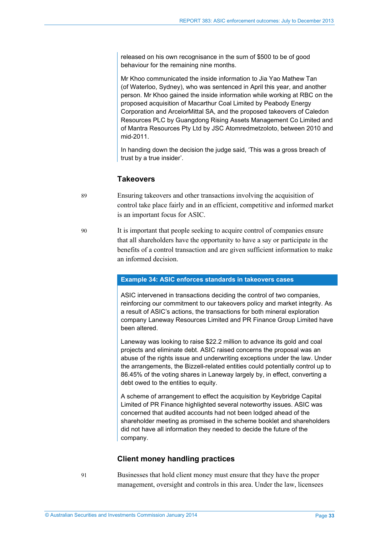released on his own recognisance in the sum of \$500 to be of good behaviour for the remaining nine months.

Mr Khoo communicated the inside information to Jia Yao Mathew Tan (of Waterloo, Sydney), who was sentenced in April this year, and another person. Mr Khoo gained the inside information while working at RBC on the proposed acquisition of Macarthur Coal Limited by Peabody Energy Corporation and ArcelorMittal SA, and the proposed takeovers of Caledon Resources PLC by Guangdong Rising Assets Management Co Limited and of Mantra Resources Pty Ltd by JSC Atomredmetzoloto, between 2010 and mid-2011.

In handing down the decision the judge said, 'This was a gross breach of trust by a true insider'.

#### **Takeovers**

- 89 Ensuring takeovers and other transactions involving the acquisition of control take place fairly and in an efficient, competitive and informed market is an important focus for ASIC.
- 90 It is important that people seeking to acquire control of companies ensure that all shareholders have the opportunity to have a say or participate in the benefits of a control transaction and are given sufficient information to make an informed decision.

#### **Example 34: ASIC enforces standards in takeovers cases**

ASIC intervened in transactions deciding the control of two companies, reinforcing our commitment to our takeovers policy and market integrity. As a result of ASIC's actions, the transactions for both mineral exploration company Laneway Resources Limited and PR Finance Group Limited have been altered.

Laneway was looking to raise \$22.2 million to advance its gold and coal projects and eliminate debt. ASIC raised concerns the proposal was an abuse of the rights issue and underwriting exceptions under the law. Under the arrangements, the Bizzell-related entities could potentially control up to 86.45% of the voting shares in Laneway largely by, in effect, converting a debt owed to the entities to equity.

A scheme of arrangement to effect the acquisition by Keybridge Capital Limited of PR Finance highlighted several noteworthy issues. ASIC was concerned that audited accounts had not been lodged ahead of the shareholder meeting as promised in the scheme booklet and shareholders did not have all information they needed to decide the future of the company.

#### **Client money handling practices**

91 Businesses that hold client money must ensure that they have the proper management, oversight and controls in this area. Under the law, licensees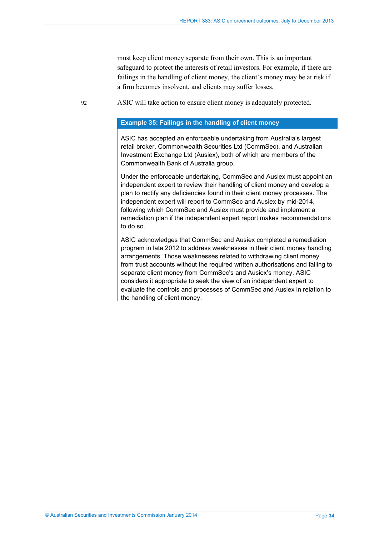must keep client money separate from their own. This is an important safeguard to protect the interests of retail investors. For example, if there are failings in the handling of client money, the client's money may be at risk if a firm becomes insolvent, and clients may suffer losses.

92 ASIC will take action to ensure client money is adequately protected.

#### **Example 35: Failings in the handling of client money**

ASIC has accepted an enforceable undertaking from Australia's largest retail broker, Commonwealth Securities Ltd (CommSec), and Australian Investment Exchange Ltd (Ausiex), both of which are members of the Commonwealth Bank of Australia group.

Under the enforceable undertaking, CommSec and Ausiex must appoint an independent expert to review their handling of client money and develop a plan to rectify any deficiencies found in their client money processes. The independent expert will report to CommSec and Ausiex by mid-2014, following which CommSec and Ausiex must provide and implement a remediation plan if the independent expert report makes recommendations to do so.

ASIC acknowledges that CommSec and Ausiex completed a remediation program in late 2012 to address weaknesses in their client money handling arrangements. Those weaknesses related to withdrawing client money from trust accounts without the required written authorisations and failing to separate client money from CommSec's and Ausiex's money. ASIC considers it appropriate to seek the view of an independent expert to evaluate the controls and processes of CommSec and Ausiex in relation to the handling of client money.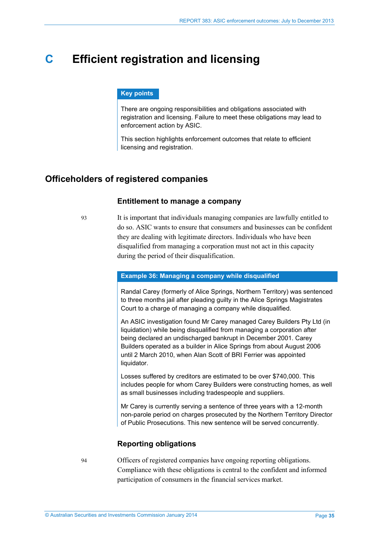## <span id="page-34-0"></span>**C Efficient registration and licensing**

#### **Key points**

There are ongoing responsibilities and obligations associated with registration and licensing. Failure to meet these obligations may lead to enforcement action by ASIC.

This section highlights enforcement outcomes that relate to efficient licensing and registration.

## <span id="page-34-1"></span>**Officeholders of registered companies**

#### **Entitlement to manage a company**

93 It is important that individuals managing companies are lawfully entitled to do so. ASIC wants to ensure that consumers and businesses can be confident they are dealing with legitimate directors. Individuals who have been disqualified from managing a corporation must not act in this capacity during the period of their disqualification.

#### **Example 36: Managing a company while disqualified**

Randal Carey (formerly of Alice Springs, Northern Territory) was sentenced to three months jail after pleading guilty in the Alice Springs Magistrates Court to a charge of managing a company while disqualified.

An ASIC investigation found Mr Carey managed Carey Builders Pty Ltd (in liquidation) while being disqualified from managing a corporation after being declared an undischarged bankrupt in December 2001. Carey Builders operated as a builder in Alice Springs from about August 2006 until 2 March 2010, when Alan Scott of BRI Ferrier was appointed liquidator.

Losses suffered by creditors are estimated to be over \$740,000. This includes people for whom Carey Builders were constructing homes, as well as small businesses including tradespeople and suppliers.

Mr Carey is currently serving a sentence of three years with a 12-month non-parole period on charges prosecuted by the Northern Territory Director of Public Prosecutions. This new sentence will be served concurrently.

#### **Reporting obligations**

94 Officers of registered companies have ongoing reporting obligations. Compliance with these obligations is central to the confident and informed participation of consumers in the financial services market.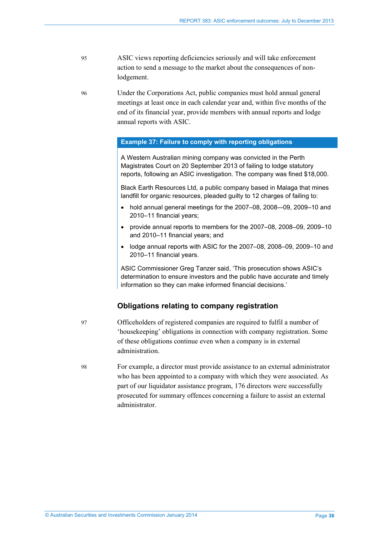95 ASIC views reporting deficiencies seriously and will take enforcement action to send a message to the market about the consequences of nonlodgement.

96 Under the Corporations Act, public companies must hold annual general meetings at least once in each calendar year and, within five months of the end of its financial year, provide members with annual reports and lodge annual reports with ASIC.

#### **Example 37: Failure to comply with reporting obligations**

A Western Australian mining company was convicted in the Perth Magistrates Court on 20 September 2013 of failing to lodge statutory reports, following an ASIC investigation. The company was fined \$18,000.

Black Earth Resources Ltd, a public company based in Malaga that mines landfill for organic resources, pleaded guilty to 12 charges of failing to:

- hold annual general meetings for the 2007–08, 2008–-09, 2009–10 and 2010–11 financial years;
- provide annual reports to members for the 2007–08, 2008–09, 2009–10 and 2010–11 financial years; and
- lodge annual reports with ASIC for the 2007–08, 2008–09, 2009–10 and 2010–11 financial years.

ASIC Commissioner Greg Tanzer said, 'This prosecution shows ASIC's determination to ensure investors and the public have accurate and timely information so they can make informed financial decisions.'

#### **Obligations relating to company registration**

97 Officeholders of registered companies are required to fulfil a number of 'housekeeping' obligations in connection with company registration. Some of these obligations continue even when a company is in external administration.

98 For example, a director must provide assistance to an external administrator who has been appointed to a company with which they were associated. As part of our liquidator assistance program, 176 directors were successfully prosecuted for summary offences concerning a failure to assist an external administrator.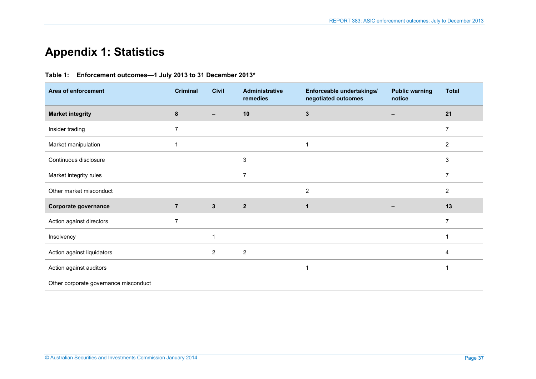## **Appendix 1: Statistics**

### **Table 1: Enforcement outcomes—1 July 2013 to 31 December 2013\***

<span id="page-36-1"></span><span id="page-36-0"></span>

| Area of enforcement                   | <b>Criminal</b> | <b>Civil</b>             | <b>Administrative</b><br>remedies | Enforceable undertakings/<br>negotiated outcomes | <b>Public warning</b><br>notice | <b>Total</b>   |
|---------------------------------------|-----------------|--------------------------|-----------------------------------|--------------------------------------------------|---------------------------------|----------------|
| <b>Market integrity</b>               | $\pmb{8}$       | $\overline{\phantom{0}}$ | 10                                | $\mathbf{3}$                                     | $\overline{\phantom{0}}$        | 21             |
| Insider trading                       | $\overline{7}$  |                          |                                   |                                                  |                                 | $\overline{7}$ |
| Market manipulation                   |                 |                          |                                   | 1                                                |                                 | $\overline{c}$ |
| Continuous disclosure                 |                 |                          | 3                                 |                                                  |                                 | $\mathsf 3$    |
| Market integrity rules                |                 |                          | $\overline{7}$                    |                                                  |                                 | $\overline{7}$ |
| Other market misconduct               |                 |                          |                                   | $\overline{2}$                                   |                                 | $\overline{c}$ |
| Corporate governance                  | $\overline{7}$  | $3\phantom{a}$           | $\mathbf{2}$                      | 1                                                | -                               | 13             |
| Action against directors              | $\overline{7}$  |                          |                                   |                                                  |                                 | 7              |
| Insolvency                            |                 | 1                        |                                   |                                                  |                                 |                |
| Action against liquidators            |                 | $\overline{2}$           | $\overline{c}$                    |                                                  |                                 | 4              |
| Action against auditors               |                 |                          |                                   | 1                                                |                                 |                |
| Other corporate governance misconduct |                 |                          |                                   |                                                  |                                 |                |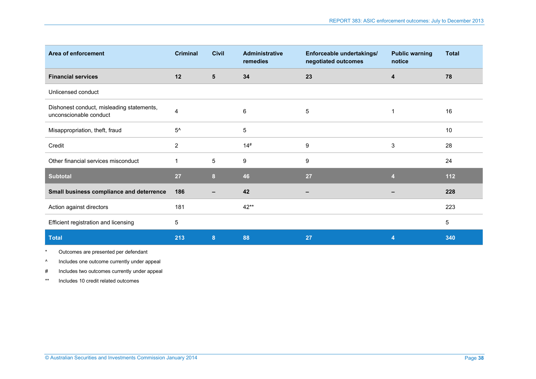| Area of enforcement                                                 | <b>Criminal</b>  | <b>Civil</b>   | <b>Administrative</b><br>remedies | Enforceable undertakings/<br>negotiated outcomes | <b>Public warning</b><br>notice | <b>Total</b> |
|---------------------------------------------------------------------|------------------|----------------|-----------------------------------|--------------------------------------------------|---------------------------------|--------------|
| <b>Financial services</b>                                           | 12               | $5\phantom{1}$ | 34                                | 23                                               | 4                               | 78           |
| Unlicensed conduct                                                  |                  |                |                                   |                                                  |                                 |              |
| Dishonest conduct, misleading statements,<br>unconscionable conduct | 4                |                | 6                                 | $\sqrt{5}$                                       | 1                               | 16           |
| Misappropriation, theft, fraud                                      | $5^{\wedge}$     |                | 5                                 |                                                  |                                 | 10           |
| Credit                                                              | $\boldsymbol{2}$ |                | 14#                               | $\boldsymbol{9}$                                 | $\mathbf{3}$                    | 28           |
| Other financial services misconduct                                 | 1                | 5              | 9                                 | 9                                                |                                 | 24           |
| <b>Subtotal</b>                                                     | 27               | 8              | 46                                | 27                                               | 4                               | $112$        |
| Small business compliance and deterrence                            | 186              |                | 42                                |                                                  |                                 | 228          |
| Action against directors                                            | 181              |                | $42**$                            |                                                  |                                 | 223          |
| Efficient registration and licensing                                | 5                |                |                                   |                                                  |                                 | $\,$ 5 $\,$  |
| <b>Total</b>                                                        | 213              | $8\phantom{1}$ | 88                                | 27                                               | 4                               | 340          |

\* Outcomes are presented per defendant

^ Includes one outcome currently under appeal

# Includes two outcomes currently under appeal

\*\* Includes 10 credit related outcomes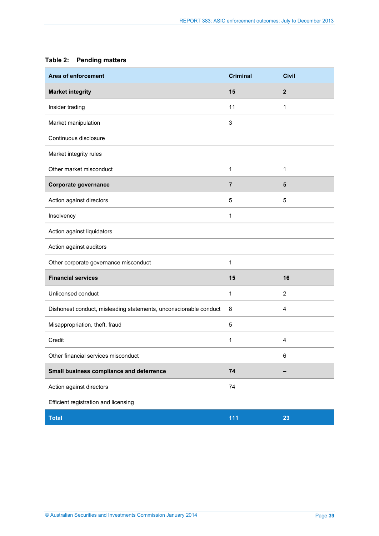## <span id="page-38-0"></span>**Table 2: Pending matters**

| Area of enforcement                                              | <b>Criminal</b> | <b>Civil</b>   |
|------------------------------------------------------------------|-----------------|----------------|
| <b>Market integrity</b>                                          | 15              | $\mathbf{2}$   |
| Insider trading                                                  | 11              | 1              |
| Market manipulation                                              | 3               |                |
| Continuous disclosure                                            |                 |                |
| Market integrity rules                                           |                 |                |
| Other market misconduct                                          | 1               | 1              |
| Corporate governance                                             | $\overline{7}$  | 5              |
| Action against directors                                         | 5               | 5              |
| Insolvency                                                       | 1               |                |
| Action against liquidators                                       |                 |                |
| Action against auditors                                          |                 |                |
| Other corporate governance misconduct                            | 1               |                |
| <b>Financial services</b>                                        | 15              | 16             |
| Unlicensed conduct                                               | 1               | $\overline{2}$ |
| Dishonest conduct, misleading statements, unconscionable conduct | 8               | 4              |
| Misappropriation, theft, fraud                                   | 5               |                |
| Credit                                                           | 1               | $\overline{4}$ |
| Other financial services misconduct                              |                 | 6              |
| Small business compliance and deterrence                         | 74              |                |
| Action against directors                                         | 74              |                |
| Efficient registration and licensing                             |                 |                |
| <b>Total</b>                                                     | 111             | 23             |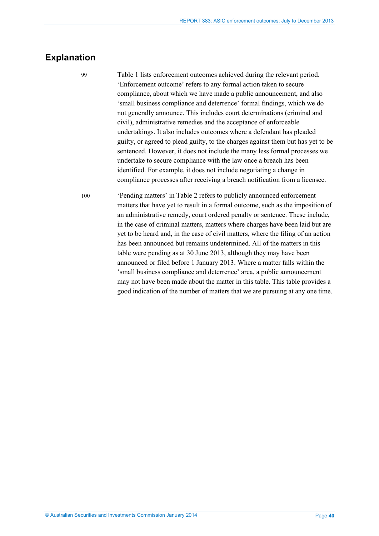## <span id="page-39-0"></span>**Explanation**

99 [Table 1](#page-36-1) lists enforcement outcomes achieved during the relevant period. 'Enforcement outcome' refers to any formal action taken to secure compliance, about which we have made a public announcement, and also 'small business compliance and deterrence' formal findings, which we do not generally announce. This includes court determinations (criminal and civil), administrative remedies and the acceptance of enforceable undertakings. It also includes outcomes where a defendant has pleaded guilty, or agreed to plead guilty, to the charges against them but has yet to be sentenced. However, it does not include the many less formal processes we undertake to secure compliance with the law once a breach has been identified. For example, it does not include negotiating a change in compliance processes after receiving a breach notification from a licensee.

100 'Pending matters' in [Table 2](#page-38-0) refers to publicly announced enforcement matters that have yet to result in a formal outcome, such as the imposition of an administrative remedy, court ordered penalty or sentence. These include, in the case of criminal matters, matters where charges have been laid but are yet to be heard and, in the case of civil matters, where the filing of an action has been announced but remains undetermined. All of the matters in this table were pending as at 30 June 2013, although they may have been announced or filed before 1 January 2013. Where a matter falls within the 'small business compliance and deterrence' area, a public announcement may not have been made about the matter in this table. This table provides a good indication of the number of matters that we are pursuing at any one time.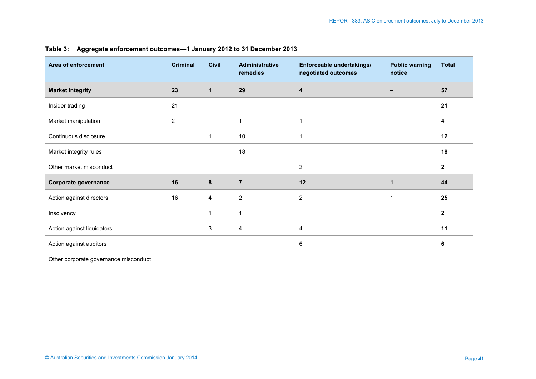<span id="page-40-0"></span>

| Area of enforcement                   | <b>Criminal</b> | <b>Civil</b> | <b>Administrative</b><br>remedies | Enforceable undertakings/<br>negotiated outcomes | <b>Public warning</b><br>notice | <b>Total</b> |
|---------------------------------------|-----------------|--------------|-----------------------------------|--------------------------------------------------|---------------------------------|--------------|
| <b>Market integrity</b>               | 23              | $\mathbf{1}$ | 29                                | 4                                                |                                 | 57           |
| Insider trading                       | 21              |              |                                   |                                                  |                                 | 21           |
| Market manipulation                   | $\overline{c}$  |              |                                   | 1                                                |                                 | 4            |
| Continuous disclosure                 |                 | 1            | 10                                | 1                                                |                                 | 12           |
| Market integrity rules                |                 |              | 18                                |                                                  |                                 | 18           |
| Other market misconduct               |                 |              |                                   | $\overline{2}$                                   |                                 | $\mathbf{2}$ |
| Corporate governance                  | 16              | 8            | $\overline{7}$                    | 12                                               | $\mathbf 1$                     | 44           |
| Action against directors              | 16              | 4            | $\overline{2}$                    | $\overline{2}$                                   | $\overline{1}$                  | 25           |
| Insolvency                            |                 | 1            | $\mathbf 1$                       |                                                  |                                 | $\mathbf 2$  |
| Action against liquidators            |                 | 3            | 4                                 | 4                                                |                                 | 11           |
| Action against auditors               |                 |              |                                   | $\,6\,$                                          |                                 | 6            |
| Other corporate governance misconduct |                 |              |                                   |                                                  |                                 |              |

#### **Table 3: Aggregate enforcement outcomes—1 January 2012 to 31 December 2013**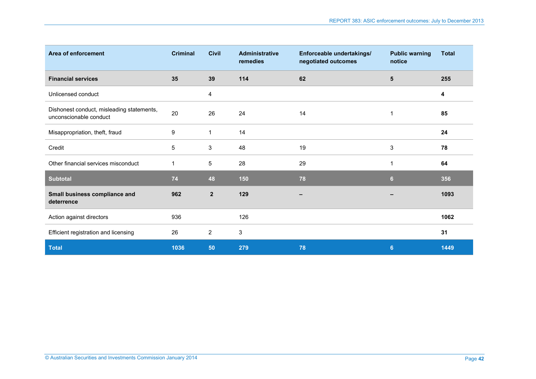| Area of enforcement                                                 | <b>Criminal</b> | <b>Civil</b>   | <b>Administrative</b><br>remedies | Enforceable undertakings/<br>negotiated outcomes | <b>Public warning</b><br>notice | <b>Total</b> |
|---------------------------------------------------------------------|-----------------|----------------|-----------------------------------|--------------------------------------------------|---------------------------------|--------------|
| <b>Financial services</b>                                           | 35              | 39             | 114                               | 62                                               | ${\bf 5}$                       | 255          |
| Unlicensed conduct                                                  |                 | 4              |                                   |                                                  |                                 | 4            |
| Dishonest conduct, misleading statements,<br>unconscionable conduct | 20              | 26             | 24                                | 14                                               | 1                               | 85           |
| Misappropriation, theft, fraud                                      | 9               | $\mathbf 1$    | 14                                |                                                  |                                 | 24           |
| Credit                                                              | 5               | 3              | 48                                | 19                                               | $\ensuremath{\mathsf{3}}$       | 78           |
| Other financial services misconduct                                 |                 | 5              | 28                                | 29                                               | 1                               | 64           |
| <b>Subtotal</b>                                                     | 74              | 48             | 150                               | 78                                               | $6\phantom{1}$                  | 356          |
| Small business compliance and<br>deterrence                         | 962             | $\overline{2}$ | 129                               |                                                  |                                 | 1093         |
| Action against directors                                            | 936             |                | 126                               |                                                  |                                 | 1062         |
| Efficient registration and licensing                                | 26              | 2              | 3                                 |                                                  |                                 | 31           |
| <b>Total</b>                                                        | 1036            | 50             | 279                               | 78                                               | 6                               | 1449         |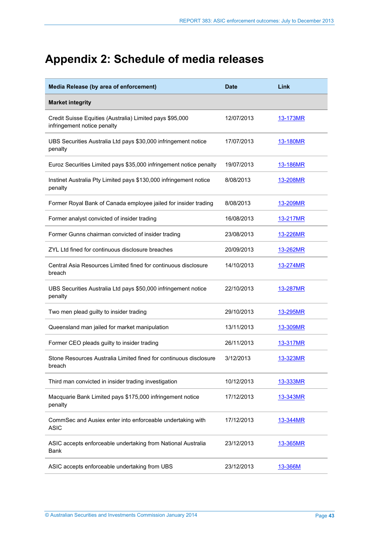# <span id="page-42-0"></span>**Appendix 2: Schedule of media releases**

| Media Release (by area of enforcement)                                                  | <b>Date</b> | Link            |
|-----------------------------------------------------------------------------------------|-------------|-----------------|
| <b>Market integrity</b>                                                                 |             |                 |
| Credit Suisse Equities (Australia) Limited pays \$95,000<br>infringement notice penalty | 12/07/2013  | 13-173MR        |
| UBS Securities Australia Ltd pays \$30,000 infringement notice<br>penalty               | 17/07/2013  | 13-180MR        |
| Euroz Securities Limited pays \$35,000 infringement notice penalty                      | 19/07/2013  | 13-186MR        |
| Instinet Australia Pty Limited pays \$130,000 infringement notice<br>penalty            | 8/08/2013   | 13-208MR        |
| Former Royal Bank of Canada employee jailed for insider trading                         | 8/08/2013   | 13-209MR        |
| Former analyst convicted of insider trading                                             | 16/08/2013  | 13-217MR        |
| Former Gunns chairman convicted of insider trading                                      | 23/08/2013  | 13-226MR        |
| ZYL Ltd fined for continuous disclosure breaches                                        | 20/09/2013  | 13-262MR        |
| Central Asia Resources Limited fined for continuous disclosure<br>breach                | 14/10/2013  | <u>13-274MR</u> |
| UBS Securities Australia Ltd pays \$50,000 infringement notice<br>penalty               | 22/10/2013  | 13-287MR        |
| Two men plead guilty to insider trading                                                 | 29/10/2013  | <u>13-295MR</u> |
| Queensland man jailed for market manipulation                                           | 13/11/2013  | 13-309MR        |
| Former CEO pleads guilty to insider trading                                             | 26/11/2013  | 13-317MR        |
| Stone Resources Australia Limited fined for continuous disclosure<br>breach             | 3/12/2013   | 13-323MR        |
| Third man convicted in insider trading investigation                                    | 10/12/2013  | <u>13-333MR</u> |
| Macquarie Bank Limited pays \$175,000 infringement notice<br>penalty                    | 17/12/2013  | 13-343MR        |
| CommSec and Ausiex enter into enforceable undertaking with<br><b>ASIC</b>               | 17/12/2013  | 13-344MR        |
| ASIC accepts enforceable undertaking from National Australia<br><b>Bank</b>             | 23/12/2013  | <u>13-365MR</u> |
| ASIC accepts enforceable undertaking from UBS                                           | 23/12/2013  | 13-366M         |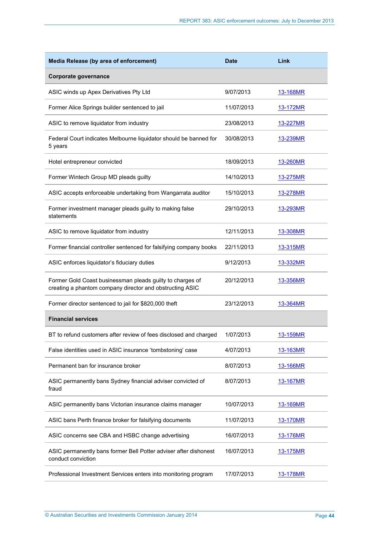| Media Release (by area of enforcement)                                                                                | <b>Date</b> | Link            |
|-----------------------------------------------------------------------------------------------------------------------|-------------|-----------------|
| Corporate governance                                                                                                  |             |                 |
| ASIC winds up Apex Derivatives Pty Ltd                                                                                | 9/07/2013   | 13-168MR        |
| Former Alice Springs builder sentenced to jail                                                                        | 11/07/2013  | 13-172MR        |
| ASIC to remove liquidator from industry                                                                               | 23/08/2013  | 13-227MR        |
| Federal Court indicates Melbourne liquidator should be banned for<br>5 years                                          | 30/08/2013  | 13-239MR        |
| Hotel entrepreneur convicted                                                                                          | 18/09/2013  | 13-260MR        |
| Former Wintech Group MD pleads guilty                                                                                 | 14/10/2013  | 13-275MR        |
| ASIC accepts enforceable undertaking from Wangarrata auditor                                                          | 15/10/2013  | 13-278MR        |
| Former investment manager pleads guilty to making false<br>statements                                                 | 29/10/2013  | 13-293MR        |
| ASIC to remove liquidator from industry                                                                               | 12/11/2013  | 13-308MR        |
| Former financial controller sentenced for falsifying company books                                                    | 22/11/2013  | 13-315MR        |
| ASIC enforces liquidator's fiduciary duties                                                                           | 9/12/2013   | 13-332MR        |
| Former Gold Coast businessman pleads guilty to charges of<br>creating a phantom company director and obstructing ASIC | 20/12/2013  | 13-356MR        |
| Former director sentenced to jail for \$820,000 theft                                                                 | 23/12/2013  | 13-364MR        |
| <b>Financial services</b>                                                                                             |             |                 |
| BT to refund customers after review of fees disclosed and charged                                                     | 1/07/2013   | 13-159MR        |
| False identities used in ASIC insurance 'tombstoning' case                                                            | 4/07/2013   | 13-163MR        |
| Permanent ban for insurance broker                                                                                    | 8/07/2013   | 13-166MR        |
| ASIC permanently bans Sydney financial adviser convicted of<br>fraud                                                  | 8/07/2013   | <u>13-167MR</u> |
| ASIC permanently bans Victorian insurance claims manager                                                              | 10/07/2013  | 13-169MR        |
| ASIC bans Perth finance broker for falsifying documents                                                               | 11/07/2013  | 13-170MR        |
| ASIC concerns see CBA and HSBC change advertising                                                                     | 16/07/2013  | <u>13-176MR</u> |
| ASIC permanently bans former Bell Potter adviser after dishonest<br>conduct conviction                                | 16/07/2013  | <u>13-175MR</u> |
| Professional Investment Services enters into monitoring program                                                       | 17/07/2013  | <u>13-178MR</u> |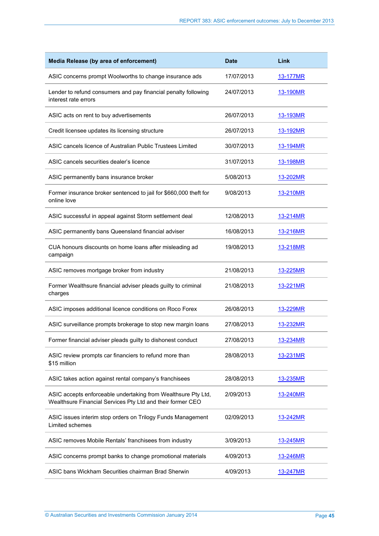| Media Release (by area of enforcement)                                                                                      | <b>Date</b> | Link            |
|-----------------------------------------------------------------------------------------------------------------------------|-------------|-----------------|
| ASIC concerns prompt Woolworths to change insurance ads                                                                     | 17/07/2013  | <u>13-177MR</u> |
| Lender to refund consumers and pay financial penalty following<br>interest rate errors                                      | 24/07/2013  | 13-190MR        |
| ASIC acts on rent to buy advertisements                                                                                     | 26/07/2013  | 13-193MR        |
| Credit licensee updates its licensing structure                                                                             | 26/07/2013  | 13-192MR        |
| ASIC cancels licence of Australian Public Trustees Limited                                                                  | 30/07/2013  | 13-194MR        |
| ASIC cancels securities dealer's licence                                                                                    | 31/07/2013  | <u>13-198MR</u> |
| ASIC permanently bans insurance broker                                                                                      | 5/08/2013   | 13-202MR        |
| Former insurance broker sentenced to jail for \$660,000 theft for<br>online love                                            | 9/08/2013   | 13-210MR        |
| ASIC successful in appeal against Storm settlement deal                                                                     | 12/08/2013  | 13-214MR        |
| ASIC permanently bans Queensland financial adviser                                                                          | 16/08/2013  | 13-216MR        |
| CUA honours discounts on home loans after misleading ad<br>campaign                                                         | 19/08/2013  | 13-218MR        |
| ASIC removes mortgage broker from industry                                                                                  | 21/08/2013  | 13-225MR        |
| Former Wealthsure financial adviser pleads guilty to criminal<br>charges                                                    | 21/08/2013  | <u>13-221MR</u> |
| ASIC imposes additional licence conditions on Roco Forex                                                                    | 26/08/2013  | 13-229MR        |
| ASIC surveillance prompts brokerage to stop new margin loans                                                                | 27/08/2013  | 13-232MR        |
| Former financial adviser pleads guilty to dishonest conduct                                                                 | 27/08/2013  | 13-234MR        |
| ASIC review prompts car financiers to refund more than<br>\$15 million                                                      | 28/08/2013  | 13-231MR        |
| ASIC takes action against rental company's franchisees                                                                      | 28/08/2013  | 13-235MR        |
| ASIC accepts enforceable undertaking from Wealthsure Pty Ltd,<br>Wealthsure Financial Services Pty Ltd and their former CEO | 2/09/2013   | <u>13-240MR</u> |
| ASIC issues interim stop orders on Trilogy Funds Management<br>Limited schemes                                              | 02/09/2013  | 13-242MR        |
| ASIC removes Mobile Rentals' franchisees from industry                                                                      | 3/09/2013   | <u>13-245MR</u> |
| ASIC concerns prompt banks to change promotional materials                                                                  | 4/09/2013   | 13-246MR        |
| ASIC bans Wickham Securities chairman Brad Sherwin                                                                          | 4/09/2013   | <u>13-247MR</u> |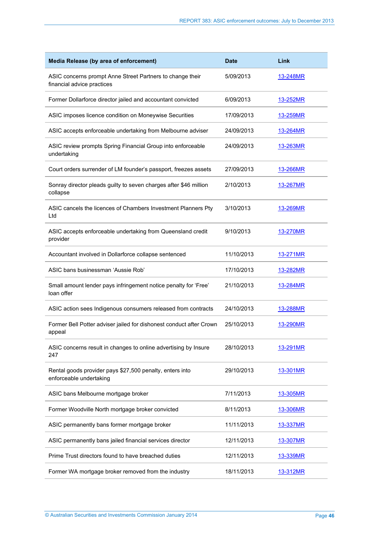| Media Release (by area of enforcement)                                                  | <b>Date</b> | Link            |
|-----------------------------------------------------------------------------------------|-------------|-----------------|
| ASIC concerns prompt Anne Street Partners to change their<br>financial advice practices | 5/09/2013   | 13-248MR        |
| Former Dollarforce director jailed and accountant convicted                             | 6/09/2013   | <u>13-252MR</u> |
| ASIC imposes licence condition on Moneywise Securities                                  | 17/09/2013  | 13-259MR        |
| ASIC accepts enforceable undertaking from Melbourne adviser                             | 24/09/2013  | 13-264MR        |
| ASIC review prompts Spring Financial Group into enforceable<br>undertaking              | 24/09/2013  | 13-263MR        |
| Court orders surrender of LM founder's passport, freezes assets                         | 27/09/2013  | 13-266MR        |
| Sonray director pleads guilty to seven charges after \$46 million<br>collapse           | 2/10/2013   | <u>13-267MR</u> |
| ASIC cancels the licences of Chambers Investment Planners Pty<br>Ltd                    | 3/10/2013   | 13-269MR        |
| ASIC accepts enforceable undertaking from Queensland credit<br>provider                 | 9/10/2013   | 13-270MR        |
| Accountant involved in Dollarforce collapse sentenced                                   | 11/10/2013  | 13-271MR        |
| ASIC bans businessman 'Aussie Rob'                                                      | 17/10/2013  | 13-282MR        |
| Small amount lender pays infringement notice penalty for 'Free'<br>loan offer           | 21/10/2013  | 13-284MR        |
| ASIC action sees Indigenous consumers released from contracts                           | 24/10/2013  | 13-288MR        |
| Former Bell Potter adviser jailed for dishonest conduct after Crown<br>appeal           | 25/10/2013  | 13-290MR        |
| ASIC concerns result in changes to online advertising by Insure<br>247                  | 28/10/2013  | 13-291MR        |
| Rental goods provider pays \$27,500 penalty, enters into<br>enforceable undertaking     | 29/10/2013  | 13-301MR        |
| ASIC bans Melbourne mortgage broker                                                     | 7/11/2013   | 13-305MR        |
| Former Woodville North mortgage broker convicted                                        | 8/11/2013   | 13-306MR        |
| ASIC permanently bans former mortgage broker                                            | 11/11/2013  | 13-337MR        |
| ASIC permanently bans jailed financial services director                                | 12/11/2013  | <u>13-307MR</u> |
| Prime Trust directors found to have breached duties                                     | 12/11/2013  | 13-339MR        |
| Former WA mortgage broker removed from the industry                                     | 18/11/2013  | 13-312MR        |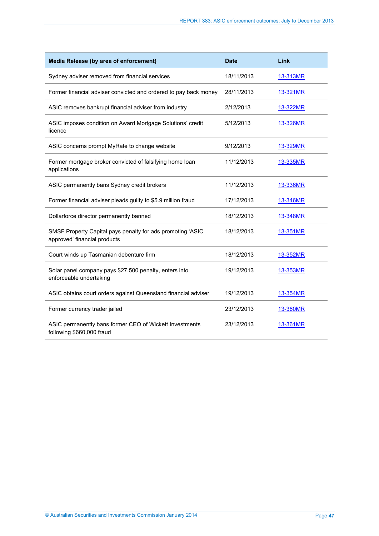| Media Release (by area of enforcement)                                                     | <b>Date</b> | Link     |
|--------------------------------------------------------------------------------------------|-------------|----------|
| Sydney adviser removed from financial services                                             | 18/11/2013  | 13-313MR |
| Former financial adviser convicted and ordered to pay back money                           | 28/11/2013  | 13-321MR |
| ASIC removes bankrupt financial adviser from industry                                      | 2/12/2013   | 13-322MR |
| ASIC imposes condition on Award Mortgage Solutions' credit<br>licence                      | 5/12/2013   | 13-326MR |
| ASIC concerns prompt MyRate to change website                                              | 9/12/2013   | 13-329MR |
| Former mortgage broker convicted of falsifying home loan<br>applications                   | 11/12/2013  | 13-335MR |
| ASIC permanently bans Sydney credit brokers                                                | 11/12/2013  | 13-336MR |
| Former financial adviser pleads guilty to \$5.9 million fraud                              | 17/12/2013  | 13-346MR |
| Dollarforce director permanently banned                                                    | 18/12/2013  | 13-348MR |
| SMSF Property Capital pays penalty for ads promoting 'ASIC<br>approved' financial products | 18/12/2013  | 13-351MR |
| Court winds up Tasmanian debenture firm                                                    | 18/12/2013  | 13-352MR |
| Solar panel company pays \$27,500 penalty, enters into<br>enforceable undertaking          | 19/12/2013  | 13-353MR |
| ASIC obtains court orders against Queensland financial adviser                             | 19/12/2013  | 13-354MR |
| Former currency trader jailed                                                              | 23/12/2013  | 13-360MR |
| ASIC permanently bans former CEO of Wickett Investments<br>following \$660,000 fraud       | 23/12/2013  | 13-361MR |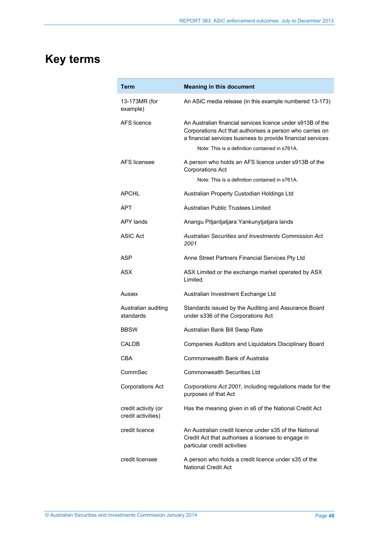# <span id="page-47-0"></span>**Key terms**

| Term                                      | <b>Meaning in this document</b>                                                                                                                                                                                                          |
|-------------------------------------------|------------------------------------------------------------------------------------------------------------------------------------------------------------------------------------------------------------------------------------------|
| 13-173MR (for<br>example)                 | An ASIC media release (in this example numbered 13-173)                                                                                                                                                                                  |
| AFS licence                               | An Australian financial services licence under s913B of the<br>Corporations Act that authorises a person who carries on<br>a financial services business to provide financial services<br>Note: This is a definition contained in s761A. |
| AFS licensee                              | A person who holds an AFS licence under s913B of the<br><b>Corporations Act</b>                                                                                                                                                          |
|                                           | Note: This is a definition contained in s761A.                                                                                                                                                                                           |
| <b>APCHL</b>                              | Australian Property Custodian Holdings Ltd                                                                                                                                                                                               |
| APT                                       | Australian Public Trustees Limited                                                                                                                                                                                                       |
| <b>APY lands</b>                          | Anangu Pitjantjatjara Yankunytjatjara lands                                                                                                                                                                                              |
| ASIC Act                                  | Australian Securities and Investments Commission Act<br>2001                                                                                                                                                                             |
| ASP                                       | Anne Street Partners Financial Services Pty Ltd                                                                                                                                                                                          |
| ASX                                       | ASX Limited or the exchange market operated by ASX<br>Limited                                                                                                                                                                            |
| Ausiex                                    | Australian Investment Exchange Ltd                                                                                                                                                                                                       |
| Australian auditing<br>standards          | Standards issued by the Auditing and Assurance Board<br>under s336 of the Corporations Act                                                                                                                                               |
| <b>BBSW</b>                               | Australian Bank Bill Swap Rate                                                                                                                                                                                                           |
| CALDB                                     | Companies Auditors and Liquidators Disciplinary Board                                                                                                                                                                                    |
| CBA                                       | Commonwealth Bank of Australia                                                                                                                                                                                                           |
| CommSec                                   | <b>Commonwealth Securities Ltd</b>                                                                                                                                                                                                       |
| <b>Corporations Act</b>                   | Corporations Act 2001, including regulations made for the<br>purposes of that Act                                                                                                                                                        |
| credit activity (or<br>credit activities) | Has the meaning given in s6 of the National Credit Act                                                                                                                                                                                   |
| credit licence                            | An Australian credit licence under s35 of the National<br>Credit Act that authorises a licensee to engage in<br>particular credit activities                                                                                             |
| credit licensee                           | A person who holds a credit licence under s35 of the<br><b>National Credit Act</b>                                                                                                                                                       |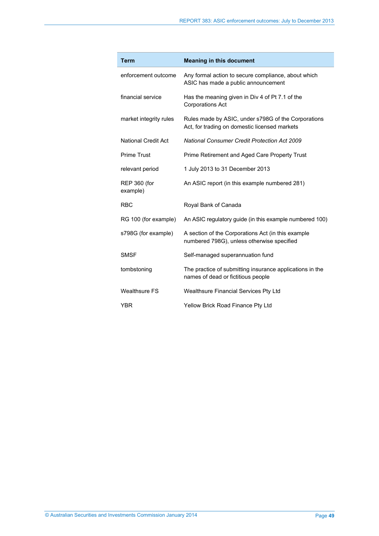| <b>Term</b>                     | <b>Meaning in this document</b>                                                                      |
|---------------------------------|------------------------------------------------------------------------------------------------------|
| enforcement outcome             | Any formal action to secure compliance, about which<br>ASIC has made a public announcement           |
| financial service               | Has the meaning given in Div 4 of Pt 7.1 of the<br><b>Corporations Act</b>                           |
| market integrity rules          | Rules made by ASIC, under s798G of the Corporations<br>Act, for trading on domestic licensed markets |
| <b>National Credit Act</b>      | <b>National Consumer Credit Protection Act 2009</b>                                                  |
| <b>Prime Trust</b>              | Prime Retirement and Aged Care Property Trust                                                        |
| relevant period                 | 1 July 2013 to 31 December 2013                                                                      |
| <b>REP 360 (for</b><br>example) | An ASIC report (in this example numbered 281)                                                        |
| <b>RBC</b>                      | Royal Bank of Canada                                                                                 |
| RG 100 (for example)            | An ASIC regulatory guide (in this example numbered 100)                                              |
| s798G (for example)             | A section of the Corporations Act (in this example<br>numbered 798G), unless otherwise specified     |
| <b>SMSF</b>                     | Self-managed superannuation fund                                                                     |
| tombstoning                     | The practice of submitting insurance applications in the<br>names of dead or fictitious people       |
| <b>Wealthsure FS</b>            | Wealthsure Financial Services Pty Ltd                                                                |
| <b>YBR</b>                      | Yellow Brick Road Finance Pty Ltd                                                                    |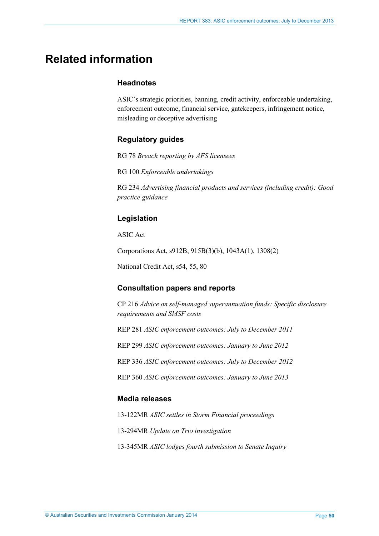## <span id="page-49-0"></span>**Related information**

### **Headnotes**

ASIC's strategic priorities, banning, credit activity, enforceable undertaking, enforcement outcome, financial service, gatekeepers, infringement notice, misleading or deceptive advertising

## **Regulatory guides**

RG 78 *Breach reporting by AFS licensees*

RG 100 *Enforceable undertakings* 

RG 234 *Advertising financial products and services (including credit): Good practice guidance*

## **Legislation**

ASIC Act

Corporations Act, s912B, 915B(3)(b), 1043A(1), 1308(2)

National Credit Act, s54, 55, 80

### **Consultation papers and reports**

CP 216 *Advice on self-managed superannuation funds: Specific disclosure requirements and SMSF costs*

REP 281 *ASIC enforcement outcomes: July to December 2011*

REP 299 *ASIC enforcement outcomes: January to June 2012*

REP 336 *ASIC enforcement outcomes: July to December 2012*

REP 360 *ASIC enforcement outcomes: January to June 2013*

### **Media releases**

13-122MR *ASIC settles in Storm Financial proceedings*

13-294MR *Update on Trio investigation*

13-345MR *ASIC lodges fourth submission to Senate Inquiry*